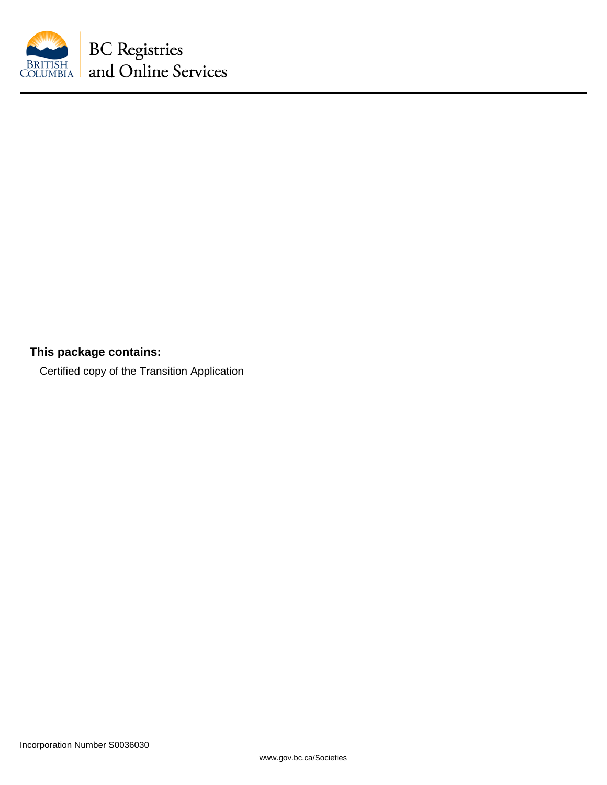

# **This package contains:**

Certified copy of the Transition Application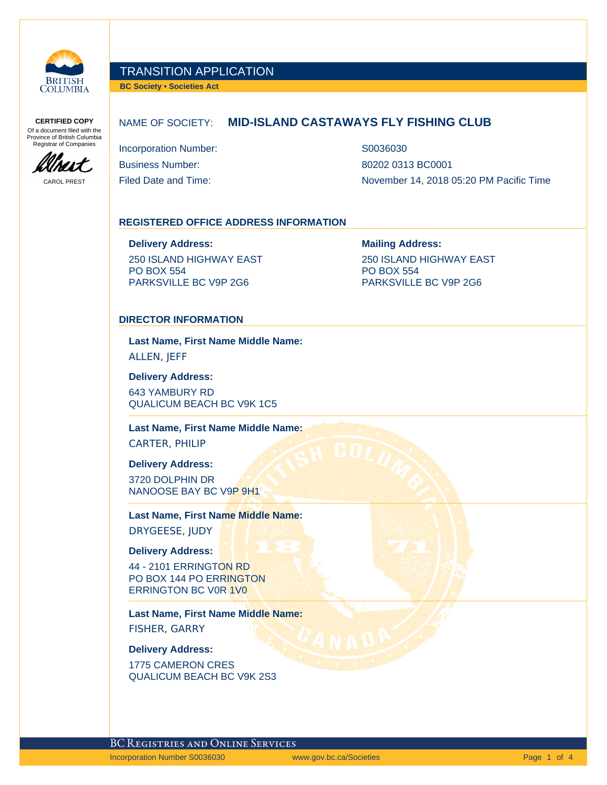

**BC Society • Societies Act**

**CERTIFIED COPY** Of a document filed with the Province of British Columbia Registrar of Companies

MIT

#### NAME OF SOCIETY: **MID-ISLAND CASTAWAYS FLY FISHING CLUB**

Incorporation Number: S0036030 Business Number: 80202 0313 BC0001

CAROL PREST Filed Date and Time: November 14, 2018 05:20 PM Pacific Time

#### **REGISTERED OFFICE ADDRESS INFORMATION**

**Delivery Address: Mailing Address:** 250 ISLAND HIGHWAY EAST PO BOX 554

PARKSVILLE BC V9P 2G6

250 ISLAND HIGHWAY EAST PO BOX 554 PARKSVILLE BC V9P 2G6

#### **DIRECTOR INFORMATION**

**Last Name, First Name Middle Name:** ALLEN, JEFF

**Delivery Address:**

643 YAMBURY RD QUALICUM BEACH BC V9K 1C5

**Last Name, First Name Middle Name:**

CARTER, PHILIP

**Delivery Address:**

3720 DOLPHIN DR NANOOSE BAY BC V9P 9H1

**Last Name, First Name Middle Name:** DRYGEESE, JUDY

**Delivery Address:**

44 - 2101 ERRINGTON RD PO BOX 144 PO ERRINGTON ERRINGTON BC V0R 1V0

**Last Name, First Name Middle Name:** FISHER, GARRY

**Delivery Address:**

1775 CAMERON CRES QUALICUM BEACH BC V9K 2S3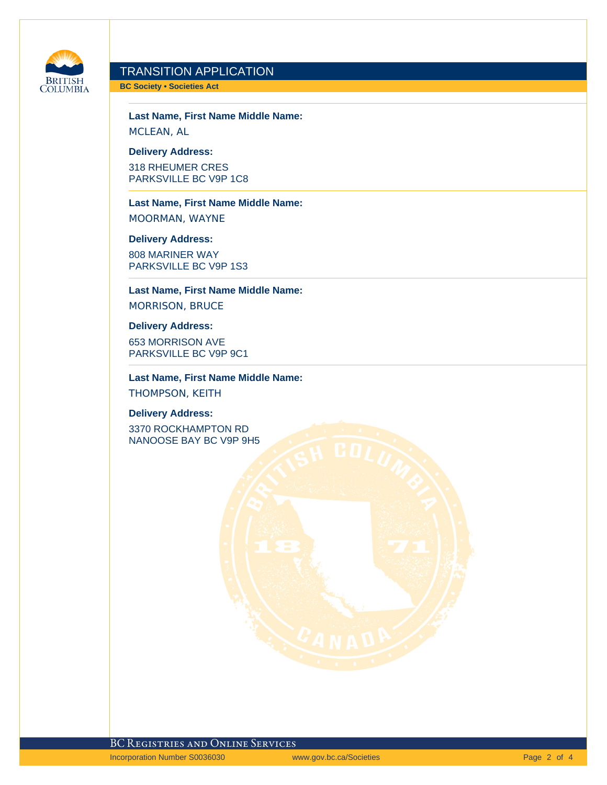

**BC Society • Societies Act**

**Last Name, First Name Middle Name:** MCLEAN, AL

**Delivery Address:**

318 RHEUMER CRES PARKSVILLE BC V9P 1C8

**Last Name, First Name Middle Name:** MOORMAN, WAYNE

**Delivery Address:** 808 MARINER WAY PARKSVILLE BC V9P 1S3

**Last Name, First Name Middle Name:** MORRISON, BRUCE

#### **Delivery Address:**

653 MORRISON AVE PARKSVILLE BC V9P 9C1

**Last Name, First Name Middle Name:** THOMPSON, KEITH

#### **Delivery Address:**

3370 ROCKHAMPTON RD NANOOSE BAY BC V9P 9H5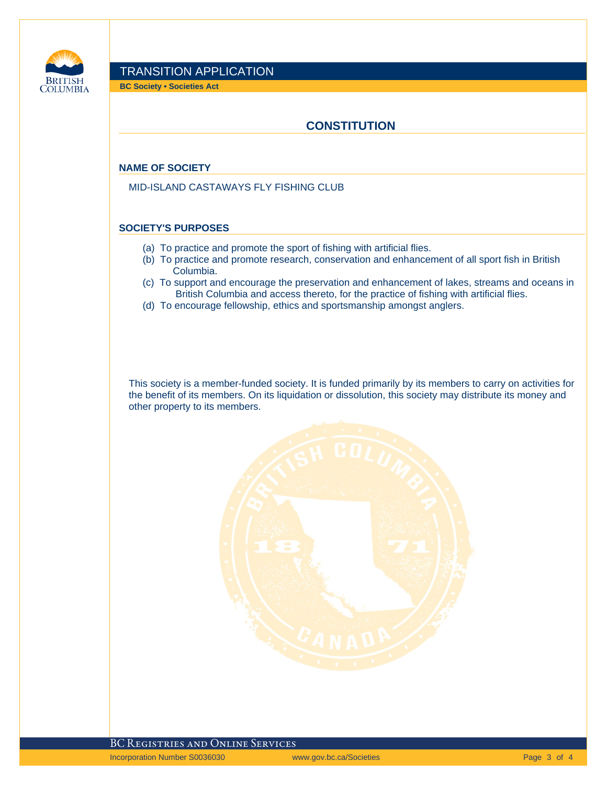

**BC Society • Societies Act**

## **CONSTITUTION**

#### **NAME OF SOCIETY**

MID-ISLAND CASTAWAYS FLY FISHING CLUB

#### **SOCIETY'S PURPOSES**

- (a) To practice and promote the sport of fishing with artificial flies.
- (b) To practice and promote research, conservation and enhancement of all sport fish in British Columbia.
- (c) To support and encourage the preservation and enhancement of lakes, streams and oceans in British Columbia and access thereto, for the practice of fishing with artificial flies.
- (d) To encourage fellowship, ethics and sportsmanship amongst anglers.

This society is a member-funded society. It is funded primarily by its members to carry on activities for the benefit of its members. On its liquidation or dissolution, this society may distribute its money and other property to its members.

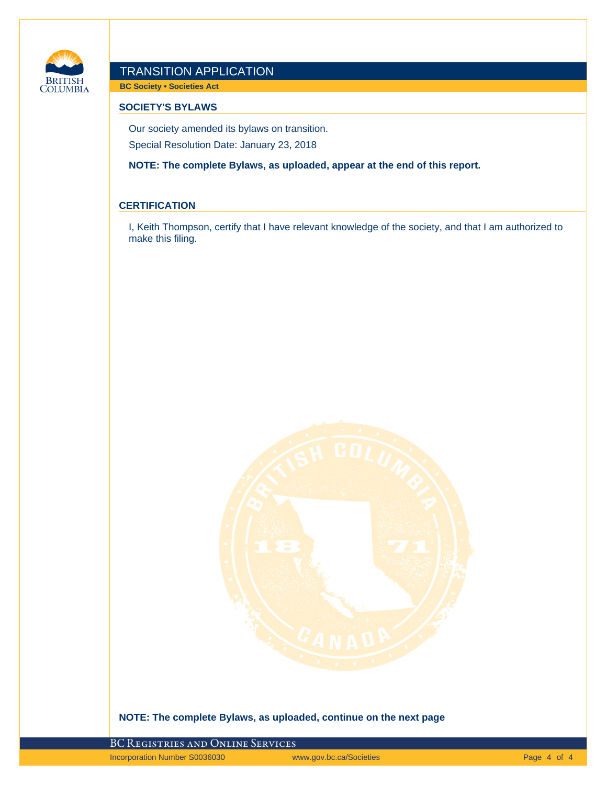

**BC Society • Societies Act**

#### **SOCIETY'S BYLAWS**

Our society amended its bylaws on transition. Special Resolution Date: January 23, 2018

**NOTE: The complete Bylaws, as uploaded, appear at the end of this report.**

#### **CERTIFICATION**

I, Keith Thompson, certify that I have relevant knowledge of the society, and that I am authorized to make this filing.



#### **NOTE: The complete Bylaws, as uploaded, continue on the next page**

BC Registries and Online Services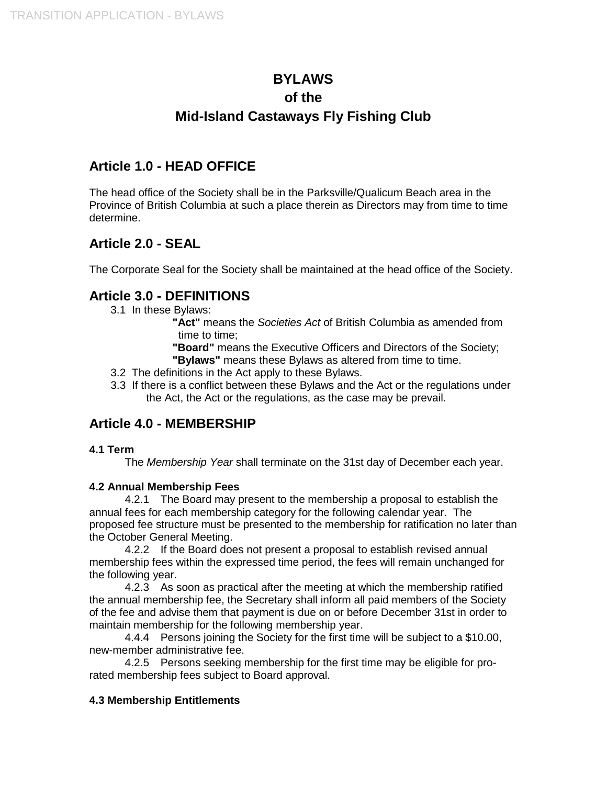# **BYLAWS of the Mid-Island Castaways Fly Fishing Club**

## **Article 1.0 - HEAD OFFICE**

The head office of the Society shall be in the Parksville/Qualicum Beach area in the Province of British Columbia at such a place therein as Directors may from time to time determine.

# **Article 2.0 - SEAL**

The Corporate Seal for the Society shall be maintained at the head office of the Society.

## **Article 3.0 - DEFINITIONS**

3.1 In these Bylaws:

**"Act"** means the *Societies Act* of British Columbia as amended from time to time;

**"Board"** means the Executive Officers and Directors of the Society;

- **"Bylaws"** means these Bylaws as altered from time to time.
- 3.2 The definitions in the Act apply to these Bylaws.
- 3.3 If there is a conflict between these Bylaws and the Act or the regulations under the Act, the Act or the regulations, as the case may be prevail.

## **Article 4.0 - MEMBERSHIP**

### **4.1 Term**

The *Membership Year* shall terminate on the 31st day of December each year.

### **4.2 Annual Membership Fees**

4.2.1 The Board may present to the membership a proposal to establish the annual fees for each membership category for the following calendar year. The proposed fee structure must be presented to the membership for ratification no later than the October General Meeting.

4.2.2 If the Board does not present a proposal to establish revised annual membership fees within the expressed time period, the fees will remain unchanged for the following year.

4.2.3 As soon as practical after the meeting at which the membership ratified the annual membership fee, the Secretary shall inform all paid members of the Society of the fee and advise them that payment is due on or before December 31st in order to maintain membership for the following membership year.

4.4.4 Persons joining the Society for the first time will be subject to a \$10.00, new-member administrative fee.

4.2.5 Persons seeking membership for the first time may be eligible for prorated membership fees subject to Board approval.

### **4.3 Membership Entitlements**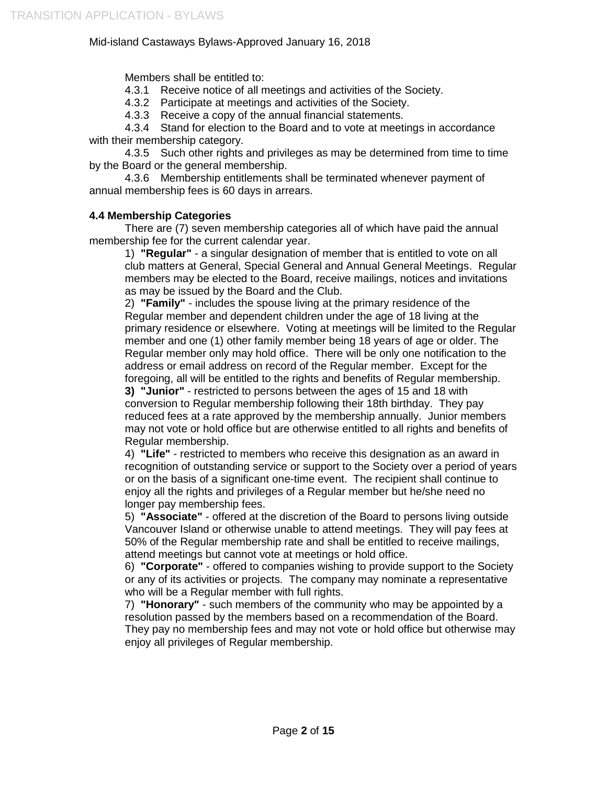Members shall be entitled to:

- 4.3.1 Receive notice of all meetings and activities of the Society.
- 4.3.2 Participate at meetings and activities of the Society.
- 4.3.3 Receive a copy of the annual financial statements.

4.3.4 Stand for election to the Board and to vote at meetings in accordance with their membership category.

4.3.5 Such other rights and privileges as may be determined from time to time by the Board or the general membership.

4.3.6 Membership entitlements shall be terminated whenever payment of annual membership fees is 60 days in arrears.

### **4.4 Membership Categories**

There are (7) seven membership categories all of which have paid the annual membership fee for the current calendar year.

1) **"Regular"** - a singular designation of member that is entitled to vote on all club matters at General, Special General and Annual General Meetings. Regular members may be elected to the Board, receive mailings, notices and invitations as may be issued by the Board and the Club.

2) **"Family"** - includes the spouse living at the primary residence of the Regular member and dependent children under the age of 18 living at the primary residence or elsewhere. Voting at meetings will be limited to the Regular member and one (1) other family member being 18 years of age or older. The Regular member only may hold office. There will be only one notification to the address or email address on record of the Regular member. Except for the foregoing, all will be entitled to the rights and benefits of Regular membership.

**3) "Junior"** - restricted to persons between the ages of 15 and 18 with conversion to Regular membership following their 18th birthday. They pay reduced fees at a rate approved by the membership annually. Junior members may not vote or hold office but are otherwise entitled to all rights and benefits of Regular membership.

4) **"Life"** - restricted to members who receive this designation as an award in recognition of outstanding service or support to the Society over a period of years or on the basis of a significant one-time event. The recipient shall continue to enjoy all the rights and privileges of a Regular member but he/she need no longer pay membership fees.

5) **"Associate"** - offered at the discretion of the Board to persons living outside Vancouver Island or otherwise unable to attend meetings. They will pay fees at 50% of the Regular membership rate and shall be entitled to receive mailings, attend meetings but cannot vote at meetings or hold office.

6) **"Corporate"** - offered to companies wishing to provide support to the Society or any of its activities or projects. The company may nominate a representative who will be a Regular member with full rights.

7) **"Honorary"** - such members of the community who may be appointed by a resolution passed by the members based on a recommendation of the Board. They pay no membership fees and may not vote or hold office but otherwise may enjoy all privileges of Regular membership.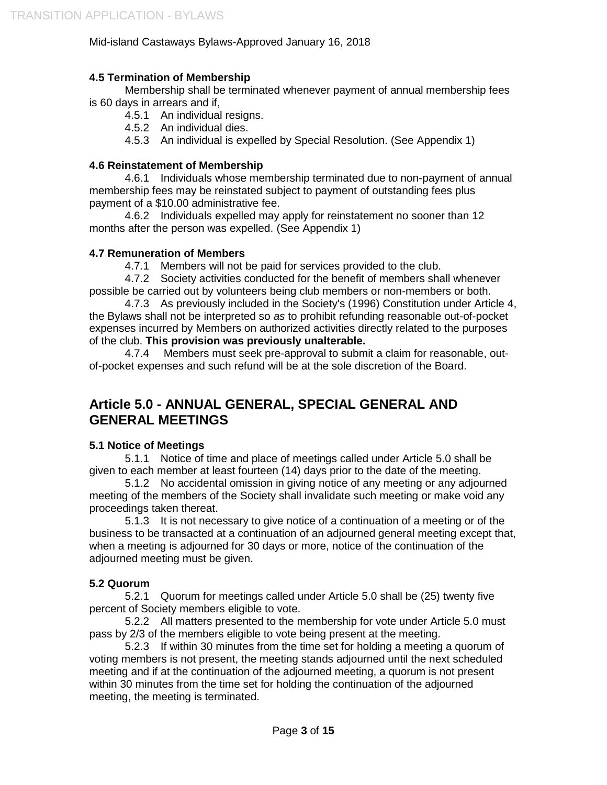### **4.5 Termination of Membership**

Membership shall be terminated whenever payment of annual membership fees is 60 days in arrears and if,

4.5.1 An individual resigns.

4.5.2 An individual dies.

4.5.3 An individual is expelled by Special Resolution. (See Appendix 1)

### **4.6 Reinstatement of Membership**

4.6.1 Individuals whose membership terminated due to non-payment of annual membership fees may be reinstated subject to payment of outstanding fees plus payment of a \$10.00 administrative fee.

4.6.2 Individuals expelled may apply for reinstatement no sooner than 12 months after the person was expelled. (See Appendix 1)

### **4.7 Remuneration of Members**

4.7.1 Members will not be paid for services provided to the club.

4.7.2 Society activities conducted for the benefit of members shall whenever possible be carried out by volunteers being club members or non-members or both.

4.7.3 As previously included in the Society's (1996) Constitution under Article 4, the Bylaws shall not be interpreted so *as* to prohibit refunding reasonable out-of-pocket expenses incurred by Members on authorized activities directly related to the purposes of the club. **This provision was previously unalterable.**

4.7.4 Members must seek pre-approval to submit a claim for reasonable, outof-pocket expenses and such refund will be at the sole discretion of the Board.

# **Article 5.0 - ANNUAL GENERAL, SPECIAL GENERAL AND GENERAL MEETINGS**

### **5.1 Notice of Meetings**

5.1.1 Notice of time and place of meetings called under Article 5.0 shall be given to each member at least fourteen (14) days prior to the date of the meeting.

5.1.2 No accidental omission in giving notice of any meeting or any adjourned meeting of the members of the Society shall invalidate such meeting or make void any proceedings taken thereat.

5.1.3 It is not necessary to give notice of a continuation of a meeting or of the business to be transacted at a continuation of an adjourned general meeting except that, when a meeting is adjourned for 30 days or more, notice of the continuation of the adjourned meeting must be given.

### **5.2 Quorum**

5.2.1 Quorum for meetings called under Article 5.0 shall be (25) twenty five percent of Society members eligible to vote.

5.2.2 All matters presented to the membership for vote under Article 5.0 must pass by 2/3 of the members eligible to vote being present at the meeting.

5.2.3 If within 30 minutes from the time set for holding a meeting a quorum of voting members is not present, the meeting stands adjourned until the next scheduled meeting and if at the continuation of the adjourned meeting, a quorum is not present within 30 minutes from the time set for holding the continuation of the adjourned meeting, the meeting is terminated.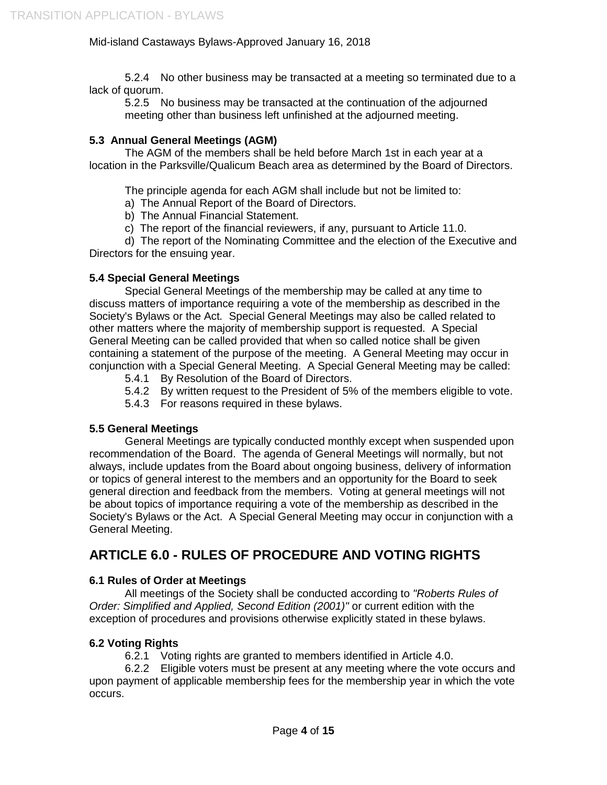5.2.4 No other business may be transacted at a meeting so terminated due to a lack of quorum.

5.2.5 No business may be transacted at the continuation of the adjourned meeting other than business left unfinished at the adjourned meeting.

### **5.3 Annual General Meetings (AGM)**

The AGM of the members shall be held before March 1st in each year at a location in the Parksville/Qualicum Beach area as determined by the Board of Directors.

The principle agenda for each AGM shall include but not be limited to:

- a) The Annual Report of the Board of Directors.
- b) The Annual Financial Statement.
- c) The report of the financial reviewers, if any, pursuant to Article 11.0.

d) The report of the Nominating Committee and the election of the Executive and Directors for the ensuing year.

### **5.4 Special General Meetings**

Special General Meetings of the membership may be called at any time to discuss matters of importance requiring a vote of the membership as described in the Society's Bylaws or the Act*.* Special General Meetings may also be called related to other matters where the majority of membership support is requested. A Special General Meeting can be called provided that when so called notice shall be given containing a statement of the purpose of the meeting. A General Meeting may occur in conjunction with a Special General Meeting. A Special General Meeting may be called:

- 5.4.1 By Resolution of the Board of Directors.
- 5.4.2 By written request to the President of 5% of the members eligible to vote.
- 5.4.3 For reasons required in these bylaws.

### **5.5 General Meetings**

General Meetings are typically conducted monthly except when suspended upon recommendation of the Board. The agenda of General Meetings will normally, but not always, include updates from the Board about ongoing business, delivery of information or topics of general interest to the members and an opportunity for the Board to seek general direction and feedback from the members. Voting at general meetings will not be about topics of importance requiring a vote of the membership as described in the Society's Bylaws or the Act. A Special General Meeting may occur in conjunction with a General Meeting.

# **ARTICLE 6.0 - RULES OF PROCEDURE AND VOTING RIGHTS**

### **6.1 Rules of Order at Meetings**

All meetings of the Society shall be conducted according to *"Roberts Rules of Order: Simplified and Applied, Second Edition (2001)"* or current edition with the exception of procedures and provisions otherwise explicitly stated in these bylaws.

### **6.2 Voting Rights**

6.2.1 Voting rights are granted to members identified in Article 4.0.

6.2.2 Eligible voters must be present at any meeting where the vote occurs and upon payment of applicable membership fees for the membership year in which the vote occurs.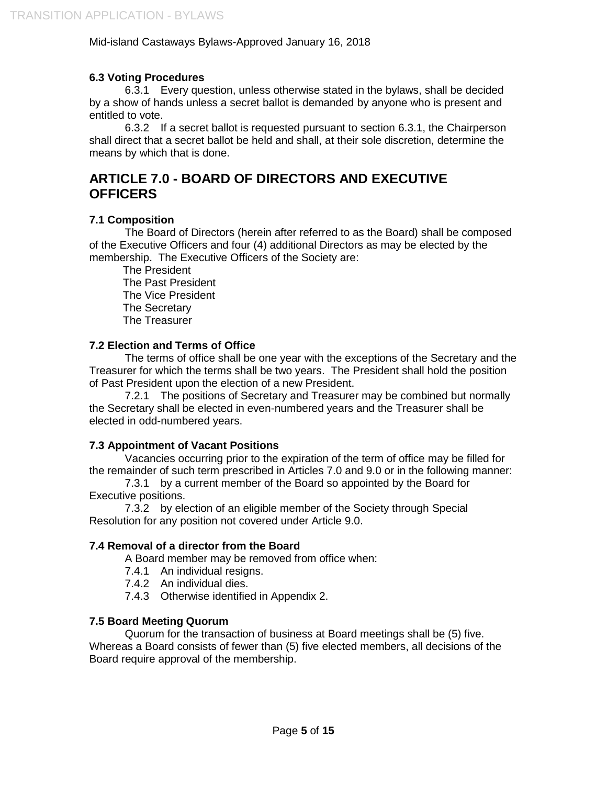### **6.3 Voting Procedures**

6.3.1 Every question, unless otherwise stated in the bylaws, shall be decided by a show of hands unless a secret ballot is demanded by anyone who is present and entitled to vote.

6.3.2 If a secret ballot is requested pursuant to section 6.3.1, the Chairperson shall direct that a secret ballot be held and shall, at their sole discretion, determine the means by which that is done.

# **ARTICLE 7.0 - BOARD OF DIRECTORS AND EXECUTIVE OFFICERS**

### **7.1 Composition**

The Board of Directors (herein after referred to as the Board) shall be composed of the Executive Officers and four (4) additional Directors as may be elected by the membership. The Executive Officers of the Society are:

The President The Past President The Vice President The Secretary The Treasurer

### **7.2 Election and Terms of Office**

The terms of office shall be one year with the exceptions of the Secretary and the Treasurer for which the terms shall be two years. The President shall hold the position of Past President upon the election of a new President.

7.2.1 The positions of Secretary and Treasurer may be combined but normally the Secretary shall be elected in even-numbered years and the Treasurer shall be elected in odd-numbered years.

### **7.3 Appointment of Vacant Positions**

Vacancies occurring prior to the expiration of the term of office may be filled for the remainder of such term prescribed in Articles 7.0 and 9.0 or in the following manner:

7.3.1 by a current member of the Board so appointed by the Board for Executive positions.

7.3.2 by election of an eligible member of the Society through Special Resolution for any position not covered under Article 9.0.

### **7.4 Removal of a director from the Board**

A Board member may be removed from office when:

- 7.4.1 An individual resigns.
- 7.4.2 An individual dies.
- 7.4.3 Otherwise identified in Appendix 2.

### **7.5 Board Meeting Quorum**

Quorum for the transaction of business at Board meetings shall be (5) five. Whereas a Board consists of fewer than (5) five elected members, all decisions of the Board require approval of the membership.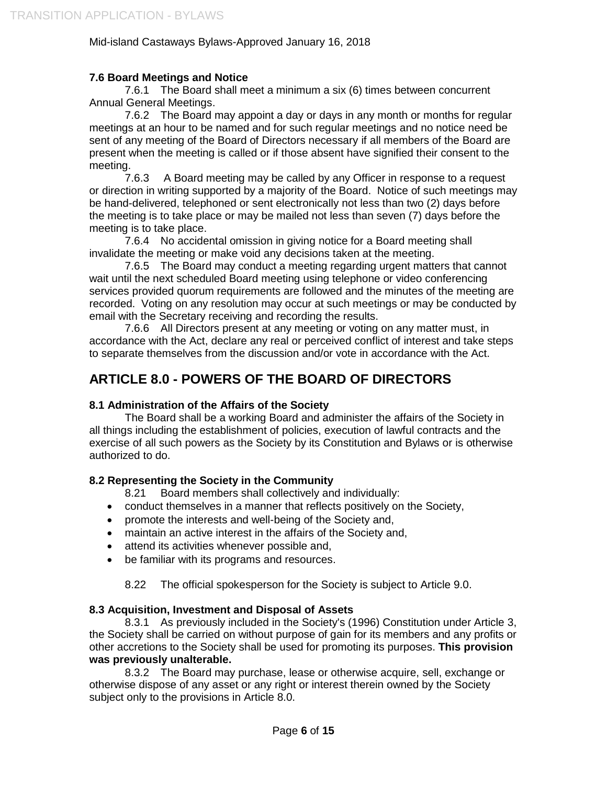### **7.6 Board Meetings and Notice**

7.6.1 The Board shall meet a minimum a six (6) times between concurrent Annual General Meetings.

7.6.2 The Board may appoint a day or days in any month or months for regular meetings at an hour to be named and for such regular meetings and no notice need be sent of any meeting of the Board of Directors necessary if all members of the Board are present when the meeting is called or if those absent have signified their consent to the meeting.

7.6.3 A Board meeting may be called by any Officer in response to a request or direction in writing supported by a majority of the Board. Notice of such meetings may be hand-delivered, telephoned or sent electronically not less than two (2) days before the meeting is to take place or may be mailed not less than seven (7) days before the meeting is to take place.

7.6.4 No accidental omission in giving notice for a Board meeting shall invalidate the meeting or make void any decisions taken at the meeting.

7.6.5 The Board may conduct a meeting regarding urgent matters that cannot wait until the next scheduled Board meeting using telephone or video conferencing services provided quorum requirements are followed and the minutes of the meeting are recorded. Voting on any resolution may occur at such meetings or may be conducted by email with the Secretary receiving and recording the results.

7.6.6 All Directors present at any meeting or voting on any matter must, in accordance with the Act, declare any real or perceived conflict of interest and take steps to separate themselves from the discussion and/or vote in accordance with the Act.

# **ARTICLE 8.0 - POWERS OF THE BOARD OF DIRECTORS**

### **8.1 Administration of the Affairs of the Society**

The Board shall be a working Board and administer the affairs of the Society in all things including the establishment of policies, execution of lawful contracts and the exercise of all such powers as the Society by its Constitution and Bylaws or is otherwise authorized to do.

### **8.2 Representing the Society in the Community**

8.21 Board members shall collectively and individually:

- conduct themselves in a manner that reflects positively on the Society,
- promote the interests and well-being of the Society and,
- maintain an active interest in the affairs of the Society and,
- attend its activities whenever possible and,
- be familiar with its programs and resources.

8.22 The official spokesperson for the Society is subject to Article 9.0.

### **8.3 Acquisition, Investment and Disposal of Assets**

8.3.1 As previously included in the Society's (1996) Constitution under Article 3, the Society shall be carried on without purpose of gain for its members and any profits or other accretions to the Society shall be used for promoting its purposes. **This provision was previously unalterable.**

8.3.2 The Board may purchase, lease or otherwise acquire, sell, exchange or otherwise dispose of any asset or any right or interest therein owned by the Society subject only to the provisions in Article 8.0.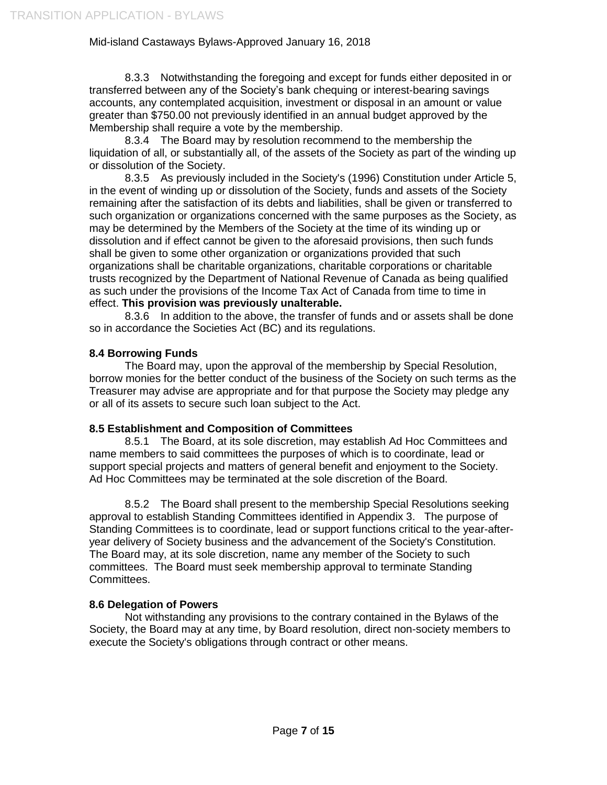8.3.3 Notwithstanding the foregoing and except for funds either deposited in or transferred between any of the Society's bank chequing or interest-bearing savings accounts, any contemplated acquisition, investment or disposal in an amount or value greater than \$750.00 not previously identified in an annual budget approved by the Membership shall require a vote by the membership.

8.3.4 The Board may by resolution recommend to the membership the liquidation of all, or substantially all, of the assets of the Society as part of the winding up or dissolution of the Society.

8.3.5 As previously included in the Society's (1996) Constitution under Article 5, in the event of winding up or dissolution of the Society, funds and assets of the Society remaining after the satisfaction of its debts and liabilities, shall be given or transferred to such organization or organizations concerned with the same purposes as the Society, as may be determined by the Members of the Society at the time of its winding up or dissolution and if effect cannot be given to the aforesaid provisions, then such funds shall be given to some other organization or organizations provided that such organizations shall be charitable organizations, charitable corporations or charitable trusts recognized by the Department of National Revenue of Canada as being qualified as such under the provisions of the Income Tax Act of Canada from time to time in effect. **This provision was previously unalterable.**

8.3.6 In addition to the above, the transfer of funds and or assets shall be done so in accordance the Societies Act (BC) and its regulations.

### **8.4 Borrowing Funds**

The Board may, upon the approval of the membership by Special Resolution, borrow monies for the better conduct of the business of the Society on such terms as the Treasurer may advise are appropriate and for that purpose the Society may pledge any or all of its assets to secure such loan subject to the Act.

### **8.5 Establishment and Composition of Committees**

8.5.1 The Board, at its sole discretion, may establish Ad Hoc Committees and name members to said committees the purposes of which is to coordinate, lead or support special projects and matters of general benefit and enjoyment to the Society. Ad Hoc Committees may be terminated at the sole discretion of the Board.

8.5.2 The Board shall present to the membership Special Resolutions seeking approval to establish Standing Committees identified in Appendix 3. The purpose of Standing Committees is to coordinate, lead or support functions critical to the year-afteryear delivery of Society business and the advancement of the Society's Constitution. The Board may, at its sole discretion, name any member of the Society to such committees. The Board must seek membership approval to terminate Standing Committees.

### **8.6 Delegation of Powers**

Not withstanding any provisions to the contrary contained in the Bylaws of the Society, the Board may at any time, by Board resolution, direct non-society members to execute the Society's obligations through contract or other means.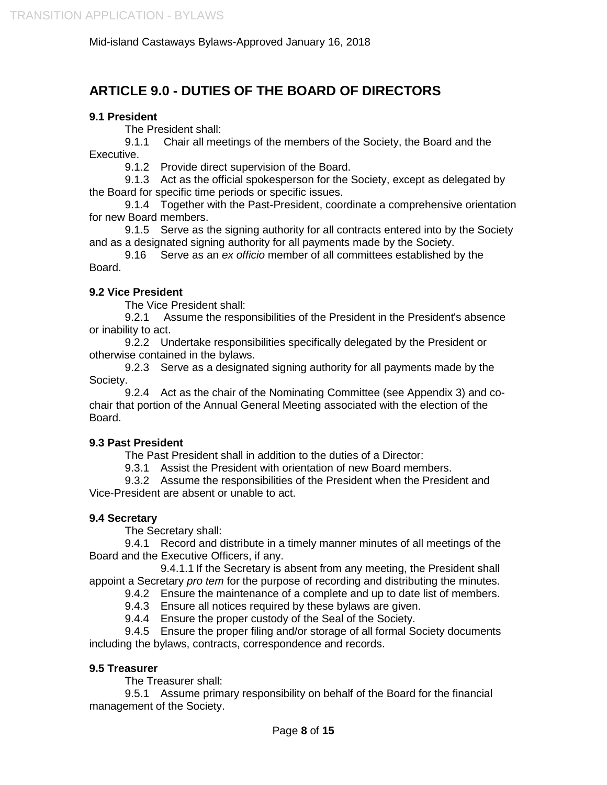# **ARTICLE 9.0 - DUTIES OF THE BOARD OF DIRECTORS**

### **9.1 President**

The President shall:

9.1.1 Chair all meetings of the members of the Society, the Board and the Executive.

9.1.2 Provide direct supervision of the Board.

9.1.3 Act as the official spokesperson for the Society, except as delegated by the Board for specific time periods or specific issues.

9.1.4 Together with the Past-President, coordinate a comprehensive orientation for new Board members.

9.1.5 Serve as the signing authority for all contracts entered into by the Society and as a designated signing authority for all payments made by the Society.

9.16 Serve as an *ex officio* member of all committees established by the Board.

### **9.2 Vice President**

The Vice President shall:

9.2.1 Assume the responsibilities of the President in the President's absence or inability to act.

9.2.2 Undertake responsibilities specifically delegated by the President or otherwise contained in the bylaws.

9.2.3 Serve as a designated signing authority for all payments made by the Society.

9.2.4 Act as the chair of the Nominating Committee (see Appendix 3) and cochair that portion of the Annual General Meeting associated with the election of the Board.

### **9.3 Past President**

The Past President shall in addition to the duties of a Director:

9.3.1 Assist the President with orientation of new Board members.

9.3.2 Assume the responsibilities of the President when the President and Vice-President are absent or unable to act.

### **9.4 Secretary**

The Secretary shall:

9.4.1 Record and distribute in a timely manner minutes of all meetings of the Board and the Executive Officers, if any.

9.4.1.1 If the Secretary is absent from any meeting, the President shall appoint a Secretary *pro tem* for the purpose of recording and distributing the minutes.

9.4.2 Ensure the maintenance of a complete and up to date list of members.

9.4.3 Ensure all notices required by these bylaws are given.

9.4.4 Ensure the proper custody of the Seal of the Society.

9.4.5 Ensure the proper filing and/or storage of all formal Society documents including the bylaws, contracts, correspondence and records.

### **9.5 Treasurer**

The Treasurer shall:

9.5.1 Assume primary responsibility on behalf of the Board for the financial management of the Society.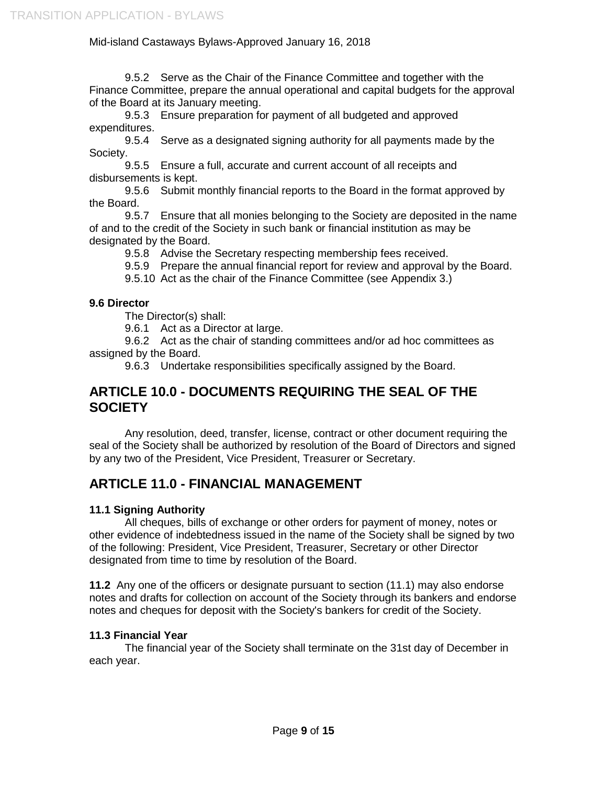9.5.2 Serve as the Chair of the Finance Committee and together with the Finance Committee, prepare the annual operational and capital budgets for the approval of the Board at its January meeting.

9.5.3 Ensure preparation for payment of all budgeted and approved expenditures.

9.5.4 Serve as a designated signing authority for all payments made by the Society.

9.5.5 Ensure a full, accurate and current account of all receipts and disbursements is kept.

9.5.6 Submit monthly financial reports to the Board in the format approved by the Board.

9.5.7 Ensure that all monies belonging to the Society are deposited in the name of and to the credit of the Society in such bank or financial institution as may be designated by the Board.

9.5.8 Advise the Secretary respecting membership fees received.

9.5.9 Prepare the annual financial report for review and approval by the Board.

9.5.10 Act as the chair of the Finance Committee (see Appendix 3.)

### **9.6 Director**

The Director(s) shall:

9.6.1 Act as a Director at large.

9.6.2 Act as the chair of standing committees and/or ad hoc committees as assigned by the Board.

9.6.3 Undertake responsibilities specifically assigned by the Board.

## **ARTICLE 10.0 - DOCUMENTS REQUIRING THE SEAL OF THE SOCIETY**

Any resolution, deed, transfer, license, contract or other document requiring the seal of the Society shall be authorized by resolution of the Board of Directors and signed by any two of the President, Vice President, Treasurer or Secretary.

# **ARTICLE 11.0 - FINANCIAL MANAGEMENT**

### **11.1 Signing Authority**

All cheques, bills of exchange or other orders for payment of money, notes or other evidence of indebtedness issued in the name of the Society shall be signed by two of the following: President, Vice President, Treasurer, Secretary or other Director designated from time to time by resolution of the Board.

**11.2** Any one of the officers or designate pursuant to section (11.1) may also endorse notes and drafts for collection on account of the Society through its bankers and endorse notes and cheques for deposit with the Society's bankers for credit of the Society.

### **11.3 Financial Year**

The financial year of the Society shall terminate on the 31st day of December in each year.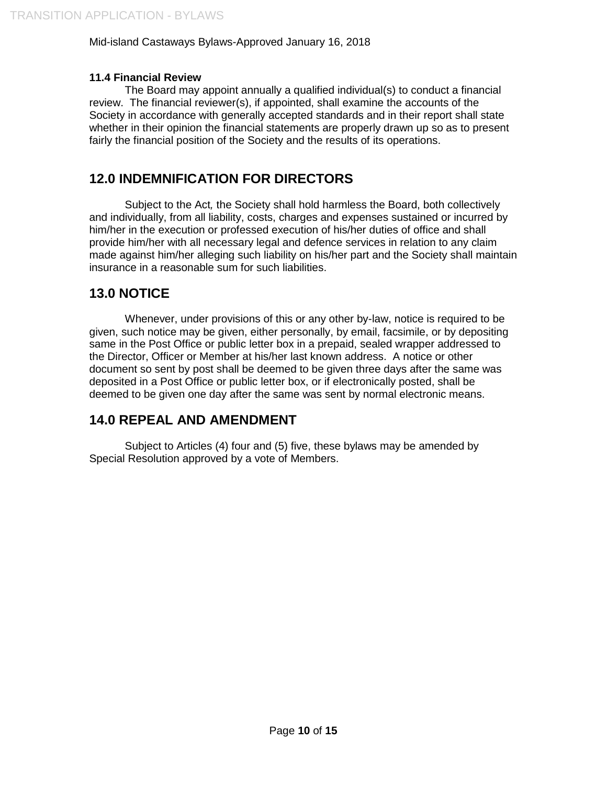### **11.4 Financial Review**

The Board may appoint annually a qualified individual(s) to conduct a financial review. The financial reviewer(s), if appointed, shall examine the accounts of the Society in accordance with generally accepted standards and in their report shall state whether in their opinion the financial statements are properly drawn up so as to present fairly the financial position of the Society and the results of its operations.

# **12.0 INDEMNIFICATION FOR DIRECTORS**

Subject to the Act*,* the Society shall hold harmless the Board, both collectively and individually, from all liability, costs, charges and expenses sustained or incurred by him/her in the execution or professed execution of his/her duties of office and shall provide him/her with all necessary legal and defence services in relation to any claim made against him/her alleging such liability on his/her part and the Society shall maintain insurance in a reasonable sum for such liabilities.

## **13.0 NOTICE**

Whenever, under provisions of this or any other by-law, notice is required to be given, such notice may be given, either personally, by email, facsimile, or by depositing same in the Post Office or public letter box in a prepaid, sealed wrapper addressed to the Director, Officer or Member at his/her last known address. A notice or other document so sent by post shall be deemed to be given three days after the same was deposited in a Post Office or public letter box, or if electronically posted, shall be deemed to be given one day after the same was sent by normal electronic means.

## **14.0 REPEAL AND AMENDMENT**

Subject to Articles (4) four and (5) five, these bylaws may be amended by Special Resolution approved by a vote of Members.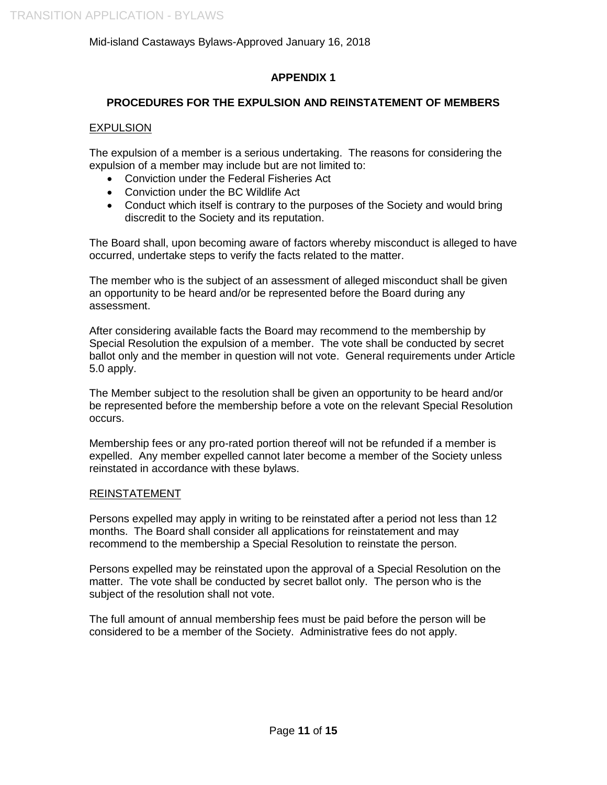### **APPENDIX 1**

### **PROCEDURES FOR THE EXPULSION AND REINSTATEMENT OF MEMBERS**

### EXPULSION

The expulsion of a member is a serious undertaking. The reasons for considering the expulsion of a member may include but are not limited to:

- Conviction under the Federal Fisheries Act
- Conviction under the BC Wildlife Act
- Conduct which itself is contrary to the purposes of the Society and would bring discredit to the Society and its reputation.

The Board shall, upon becoming aware of factors whereby misconduct is alleged to have occurred, undertake steps to verify the facts related to the matter.

The member who is the subject of an assessment of alleged misconduct shall be given an opportunity to be heard and/or be represented before the Board during any assessment.

After considering available facts the Board may recommend to the membership by Special Resolution the expulsion of a member. The vote shall be conducted by secret ballot only and the member in question will not vote. General requirements under Article 5.0 apply.

The Member subject to the resolution shall be given an opportunity to be heard and/or be represented before the membership before a vote on the relevant Special Resolution occurs.

Membership fees or any pro-rated portion thereof will not be refunded if a member is expelled. Any member expelled cannot later become a member of the Society unless reinstated in accordance with these bylaws.

### REINSTATEMENT

Persons expelled may apply in writing to be reinstated after a period not less than 12 months. The Board shall consider all applications for reinstatement and may recommend to the membership a Special Resolution to reinstate the person.

Persons expelled may be reinstated upon the approval of a Special Resolution on the matter. The vote shall be conducted by secret ballot only. The person who is the subject of the resolution shall not vote.

The full amount of annual membership fees must be paid before the person will be considered to be a member of the Society. Administrative fees do not apply.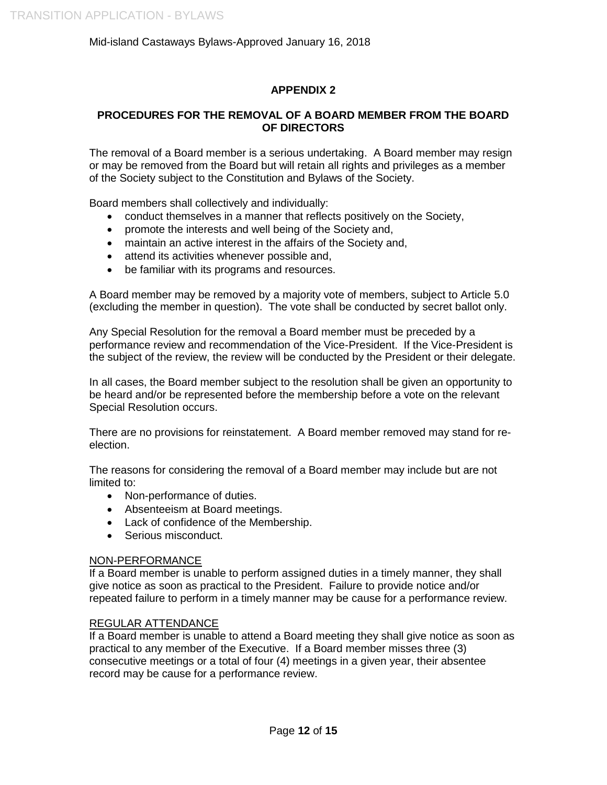### **APPENDIX 2**

### **PROCEDURES FOR THE REMOVAL OF A BOARD MEMBER FROM THE BOARD OF DIRECTORS**

The removal of a Board member is a serious undertaking. A Board member may resign or may be removed from the Board but will retain all rights and privileges as a member of the Society subject to the Constitution and Bylaws of the Society.

Board members shall collectively and individually:

- conduct themselves in a manner that reflects positively on the Society,
- promote the interests and well being of the Society and,
- maintain an active interest in the affairs of the Society and,
- attend its activities whenever possible and,
- be familiar with its programs and resources.

A Board member may be removed by a majority vote of members, subject to Article 5.0 (excluding the member in question). The vote shall be conducted by secret ballot only.

Any Special Resolution for the removal a Board member must be preceded by a performance review and recommendation of the Vice-President. If the Vice-President is the subject of the review, the review will be conducted by the President or their delegate.

In all cases, the Board member subject to the resolution shall be given an opportunity to be heard and/or be represented before the membership before a vote on the relevant Special Resolution occurs.

There are no provisions for reinstatement. A Board member removed may stand for reelection.

The reasons for considering the removal of a Board member may include but are not limited to:

- Non-performance of duties.
- Absenteeism at Board meetings.
- Lack of confidence of the Membership.
- Serious misconduct.

#### NON-PERFORMANCE

If a Board member is unable to perform assigned duties in a timely manner, they shall give notice as soon as practical to the President. Failure to provide notice and/or repeated failure to perform in a timely manner may be cause for a performance review.

#### REGULAR ATTENDANCE

If a Board member is unable to attend a Board meeting they shall give notice as soon as practical to any member of the Executive. If a Board member misses three (3) consecutive meetings or a total of four (4) meetings in a given year, their absentee record may be cause for a performance review.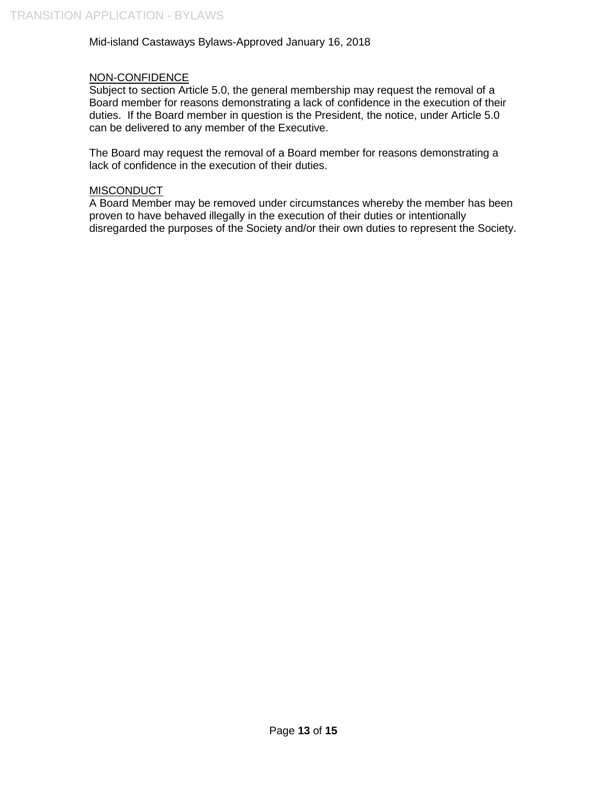### NON-CONFIDENCE

Subject to section Article 5.0, the general membership may request the removal of a Board member for reasons demonstrating a lack of confidence in the execution of their duties. If the Board member in question is the President, the notice, under Article 5.0 can be delivered to any member of the Executive.

The Board may request the removal of a Board member for reasons demonstrating a lack of confidence in the execution of their duties.

#### **MISCONDUCT**

A Board Member may be removed under circumstances whereby the member has been proven to have behaved illegally in the execution of their duties or intentionally disregarded the purposes of the Society and/or their own duties to represent the Society.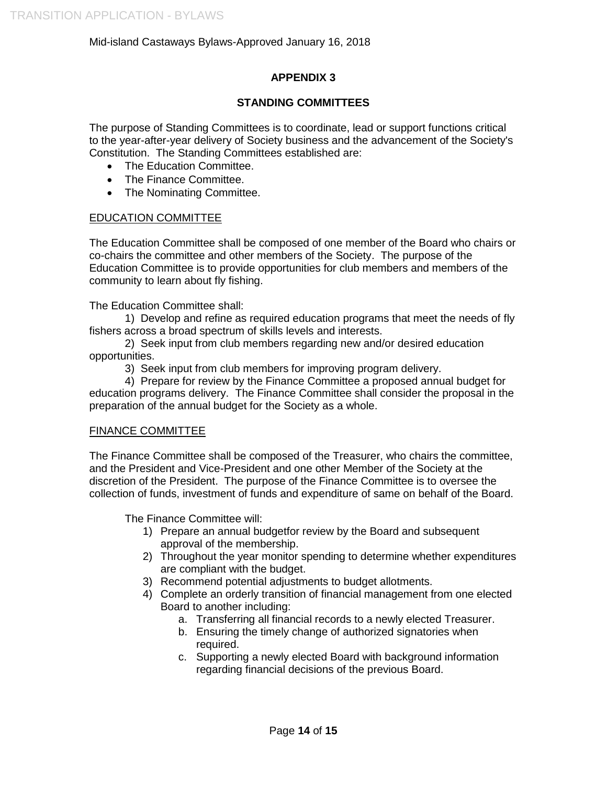### **APPENDIX 3**

### **STANDING COMMITTEES**

The purpose of Standing Committees is to coordinate, lead or support functions critical to the year-after-year delivery of Society business and the advancement of the Society's Constitution. The Standing Committees established are:

- The Education Committee.
- The Finance Committee.
- The Nominating Committee.

### EDUCATION COMMITTEE

The Education Committee shall be composed of one member of the Board who chairs or co-chairs the committee and other members of the Society. The purpose of the Education Committee is to provide opportunities for club members and members of the community to learn about fly fishing.

The Education Committee shall:

1) Develop and refine as required education programs that meet the needs of fly fishers across a broad spectrum of skills levels and interests.

2) Seek input from club members regarding new and/or desired education opportunities.

3) Seek input from club members for improving program delivery.

4) Prepare for review by the Finance Committee a proposed annual budget for education programs delivery. The Finance Committee shall consider the proposal in the preparation of the annual budget for the Society as a whole.

### FINANCE COMMITTEE

The Finance Committee shall be composed of the Treasurer, who chairs the committee, and the President and Vice-President and one other Member of the Society at the discretion of the President. The purpose of the Finance Committee is to oversee the collection of funds, investment of funds and expenditure of same on behalf of the Board.

The Finance Committee will:

- 1) Prepare an annual budgetfor review by the Board and subsequent approval of the membership.
- 2) Throughout the year monitor spending to determine whether expenditures are compliant with the budget.
- 3) Recommend potential adjustments to budget allotments.
- 4) Complete an orderly transition of financial management from one elected Board to another including:
	- a. Transferring all financial records to a newly elected Treasurer.
	- b. Ensuring the timely change of authorized signatories when required.
	- c. Supporting a newly elected Board with background information regarding financial decisions of the previous Board.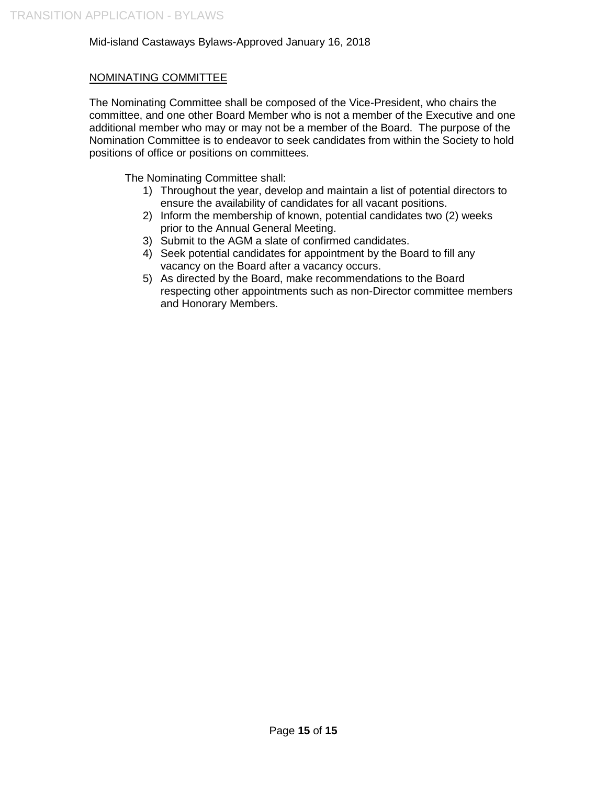### NOMINATING COMMITTEE

The Nominating Committee shall be composed of the Vice-President, who chairs the committee, and one other Board Member who is not a member of the Executive and one additional member who may or may not be a member of the Board. The purpose of the Nomination Committee is to endeavor to seek candidates from within the Society to hold positions of office or positions on committees.

The Nominating Committee shall:

- 1) Throughout the year, develop and maintain a list of potential directors to ensure the availability of candidates for all vacant positions.
- 2) Inform the membership of known, potential candidates two (2) weeks prior to the Annual General Meeting.
- 3) Submit to the AGM a slate of confirmed candidates.
- 4) Seek potential candidates for appointment by the Board to fill any vacancy on the Board after a vacancy occurs.
- 5) As directed by the Board, make recommendations to the Board respecting other appointments such as non-Director committee members and Honorary Members.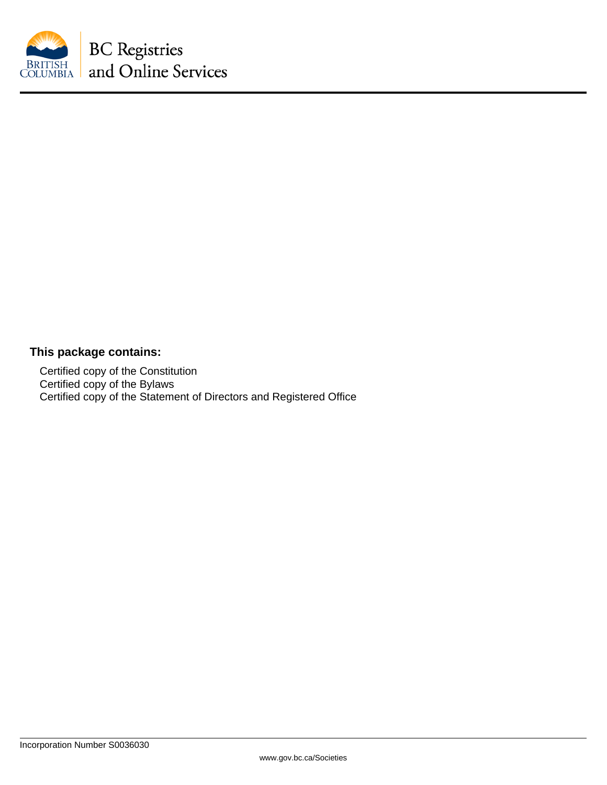

## **This package contains:**

Certified copy of the Constitution Certified copy of the Bylaws Certified copy of the Statement of Directors and Registered Office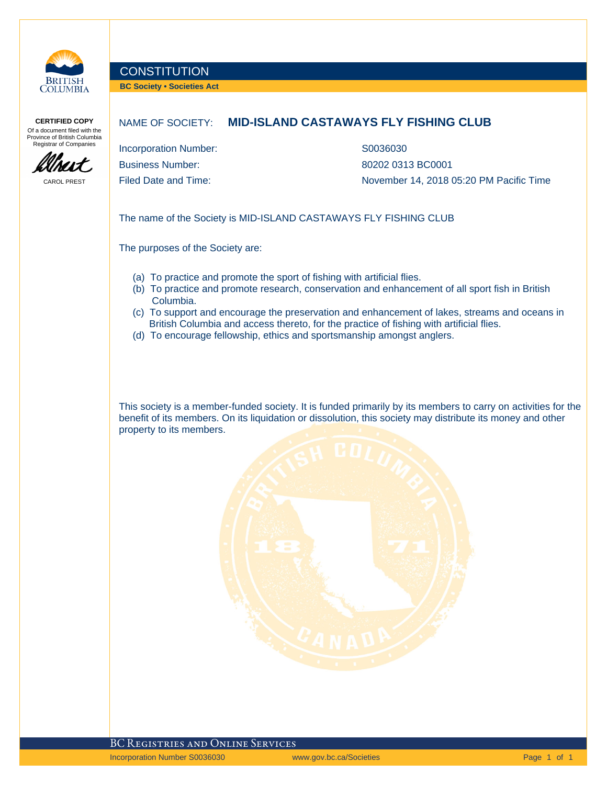

### **CONSTITUTION**

**BC Society • Societies Act**

**CERTIFIED COPY** Of a document filed with the Province of British Columbia Registrar of Companies



CAROL PREST

### NAME OF SOCIETY: **MID-ISLAND CASTAWAYS FLY FISHING CLUB**

Incorporation Number: S0036030 Business Number: 80202 0313 BC0001

Filed Date and Time:  $\blacksquare$  November 14, 2018 05:20 PM Pacific Time

The name of the Society is MID-ISLAND CASTAWAYS FLY FISHING CLUB

The purposes of the Society are:

- (a) To practice and promote the sport of fishing with artificial flies.
- (b) To practice and promote research, conservation and enhancement of all sport fish in British Columbia.
- (c) To support and encourage the preservation and enhancement of lakes, streams and oceans in British Columbia and access thereto, for the practice of fishing with artificial flies.
- (d) To encourage fellowship, ethics and sportsmanship amongst anglers.

This society is a member-funded society. It is funded primarily by its members to carry on activities for the benefit of its members. On its liquidation or dissolution, this society may distribute its money and other property to its members.

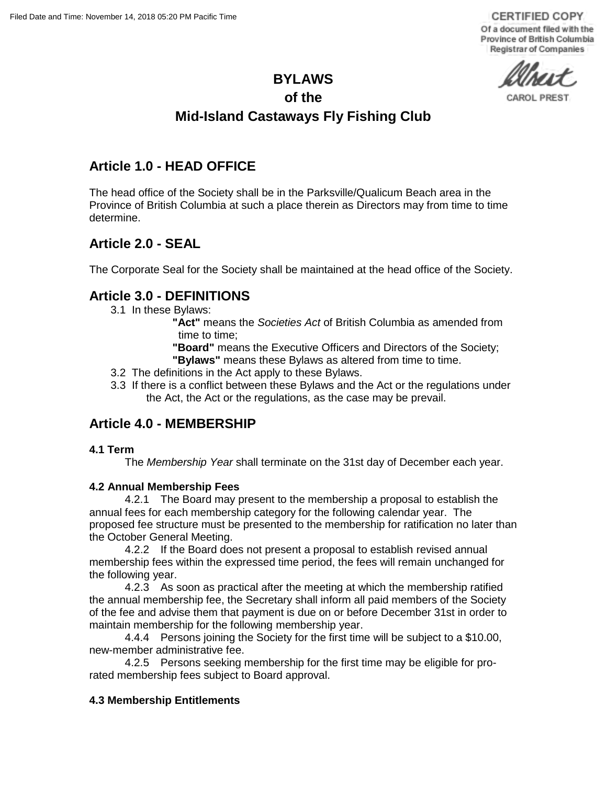**CERTIFIED COPY** Of a document filed with the Province of British Columbia Registrar of Companies

CAROL PREST

### **BYLAWS**

### **of the**

# **Mid-Island Castaways Fly Fishing Club**

## **Article 1.0 - HEAD OFFICE**

The head office of the Society shall be in the Parksville/Qualicum Beach area in the Province of British Columbia at such a place therein as Directors may from time to time determine.

## **Article 2.0 - SEAL**

The Corporate Seal for the Society shall be maintained at the head office of the Society.

## **Article 3.0 - DEFINITIONS**

3.1 In these Bylaws:

**"Act"** means the *Societies Act* of British Columbia as amended from time to time;

**"Board"** means the Executive Officers and Directors of the Society;

- **"Bylaws"** means these Bylaws as altered from time to time.
- 3.2 The definitions in the Act apply to these Bylaws.
- 3.3 If there is a conflict between these Bylaws and the Act or the regulations under the Act, the Act or the regulations, as the case may be prevail.

## **Article 4.0 - MEMBERSHIP**

### **4.1 Term**

The *Membership Year* shall terminate on the 31st day of December each year.

### **4.2 Annual Membership Fees**

4.2.1 The Board may present to the membership a proposal to establish the annual fees for each membership category for the following calendar year. The proposed fee structure must be presented to the membership for ratification no later than the October General Meeting.

4.2.2 If the Board does not present a proposal to establish revised annual membership fees within the expressed time period, the fees will remain unchanged for the following year.

4.2.3 As soon as practical after the meeting at which the membership ratified the annual membership fee, the Secretary shall inform all paid members of the Society of the fee and advise them that payment is due on or before December 31st in order to maintain membership for the following membership year.

4.4.4 Persons joining the Society for the first time will be subject to a \$10.00, new-member administrative fee.

4.2.5 Persons seeking membership for the first time may be eligible for prorated membership fees subject to Board approval.

### **4.3 Membership Entitlements**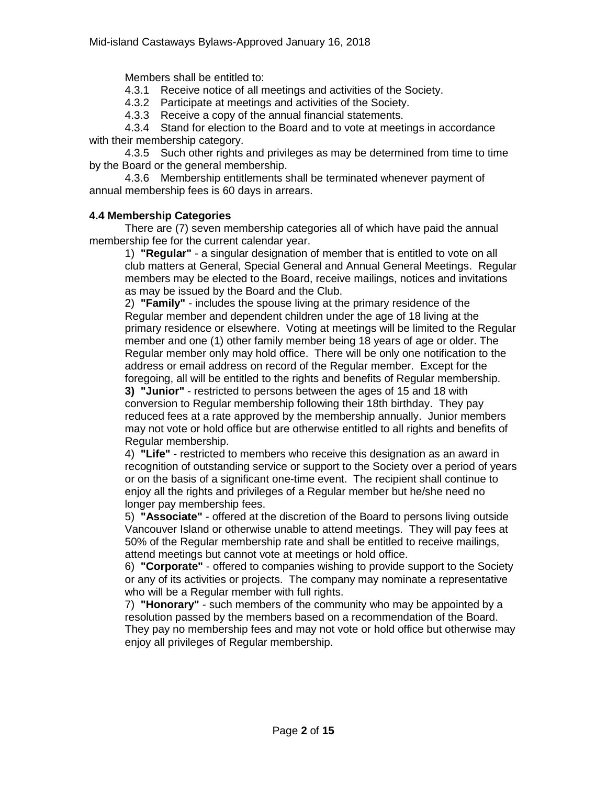Members shall be entitled to:

4.3.1 Receive notice of all meetings and activities of the Society.

4.3.2 Participate at meetings and activities of the Society.

4.3.3 Receive a copy of the annual financial statements.

4.3.4 Stand for election to the Board and to vote at meetings in accordance with their membership category.

4.3.5 Such other rights and privileges as may be determined from time to time by the Board or the general membership.

4.3.6 Membership entitlements shall be terminated whenever payment of annual membership fees is 60 days in arrears.

### **4.4 Membership Categories**

There are (7) seven membership categories all of which have paid the annual membership fee for the current calendar year.

1) **"Regular"** - a singular designation of member that is entitled to vote on all club matters at General, Special General and Annual General Meetings. Regular members may be elected to the Board, receive mailings, notices and invitations as may be issued by the Board and the Club.

2) **"Family"** - includes the spouse living at the primary residence of the Regular member and dependent children under the age of 18 living at the primary residence or elsewhere. Voting at meetings will be limited to the Regular member and one (1) other family member being 18 years of age or older. The Regular member only may hold office. There will be only one notification to the address or email address on record of the Regular member. Except for the foregoing, all will be entitled to the rights and benefits of Regular membership.

**3) "Junior"** - restricted to persons between the ages of 15 and 18 with conversion to Regular membership following their 18th birthday. They pay reduced fees at a rate approved by the membership annually. Junior members may not vote or hold office but are otherwise entitled to all rights and benefits of Regular membership.

4) **"Life"** - restricted to members who receive this designation as an award in recognition of outstanding service or support to the Society over a period of years or on the basis of a significant one-time event. The recipient shall continue to enjoy all the rights and privileges of a Regular member but he/she need no longer pay membership fees.

5) **"Associate"** - offered at the discretion of the Board to persons living outside Vancouver Island or otherwise unable to attend meetings. They will pay fees at 50% of the Regular membership rate and shall be entitled to receive mailings, attend meetings but cannot vote at meetings or hold office.

6) **"Corporate"** - offered to companies wishing to provide support to the Society or any of its activities or projects. The company may nominate a representative who will be a Regular member with full rights.

7) **"Honorary"** - such members of the community who may be appointed by a resolution passed by the members based on a recommendation of the Board. They pay no membership fees and may not vote or hold office but otherwise may enjoy all privileges of Regular membership.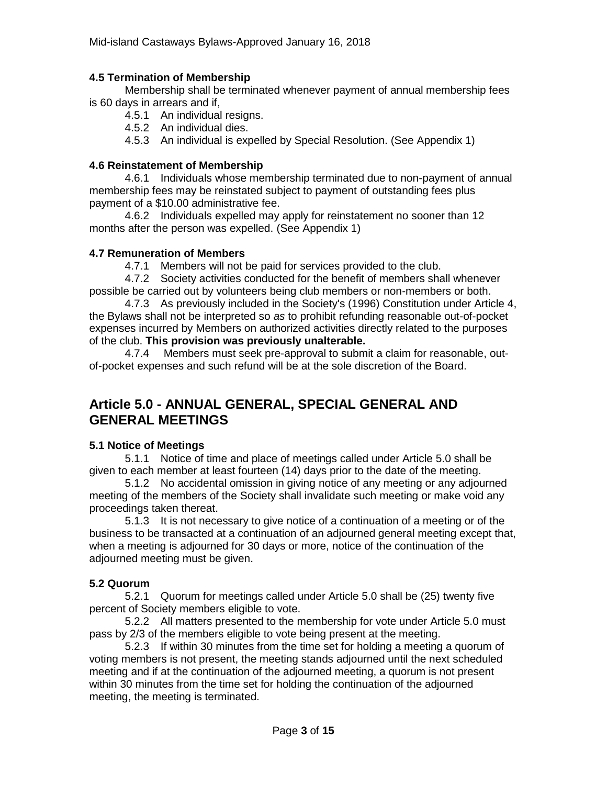### **4.5 Termination of Membership**

Membership shall be terminated whenever payment of annual membership fees is 60 days in arrears and if,

4.5.1 An individual resigns.

4.5.2 An individual dies.

4.5.3 An individual is expelled by Special Resolution. (See Appendix 1)

### **4.6 Reinstatement of Membership**

4.6.1 Individuals whose membership terminated due to non-payment of annual membership fees may be reinstated subject to payment of outstanding fees plus payment of a \$10.00 administrative fee.

4.6.2 Individuals expelled may apply for reinstatement no sooner than 12 months after the person was expelled. (See Appendix 1)

### **4.7 Remuneration of Members**

4.7.1 Members will not be paid for services provided to the club.

4.7.2 Society activities conducted for the benefit of members shall whenever possible be carried out by volunteers being club members or non-members or both.

4.7.3 As previously included in the Society's (1996) Constitution under Article 4, the Bylaws shall not be interpreted so *as* to prohibit refunding reasonable out-of-pocket expenses incurred by Members on authorized activities directly related to the purposes of the club. **This provision was previously unalterable.**

4.7.4 Members must seek pre-approval to submit a claim for reasonable, outof-pocket expenses and such refund will be at the sole discretion of the Board.

# **Article 5.0 - ANNUAL GENERAL, SPECIAL GENERAL AND GENERAL MEETINGS**

### **5.1 Notice of Meetings**

5.1.1 Notice of time and place of meetings called under Article 5.0 shall be given to each member at least fourteen (14) days prior to the date of the meeting.

5.1.2 No accidental omission in giving notice of any meeting or any adjourned meeting of the members of the Society shall invalidate such meeting or make void any proceedings taken thereat.

5.1.3 It is not necessary to give notice of a continuation of a meeting or of the business to be transacted at a continuation of an adjourned general meeting except that, when a meeting is adjourned for 30 days or more, notice of the continuation of the adjourned meeting must be given.

### **5.2 Quorum**

5.2.1 Quorum for meetings called under Article 5.0 shall be (25) twenty five percent of Society members eligible to vote.

5.2.2 All matters presented to the membership for vote under Article 5.0 must pass by 2/3 of the members eligible to vote being present at the meeting.

5.2.3 If within 30 minutes from the time set for holding a meeting a quorum of voting members is not present, the meeting stands adjourned until the next scheduled meeting and if at the continuation of the adjourned meeting, a quorum is not present within 30 minutes from the time set for holding the continuation of the adjourned meeting, the meeting is terminated.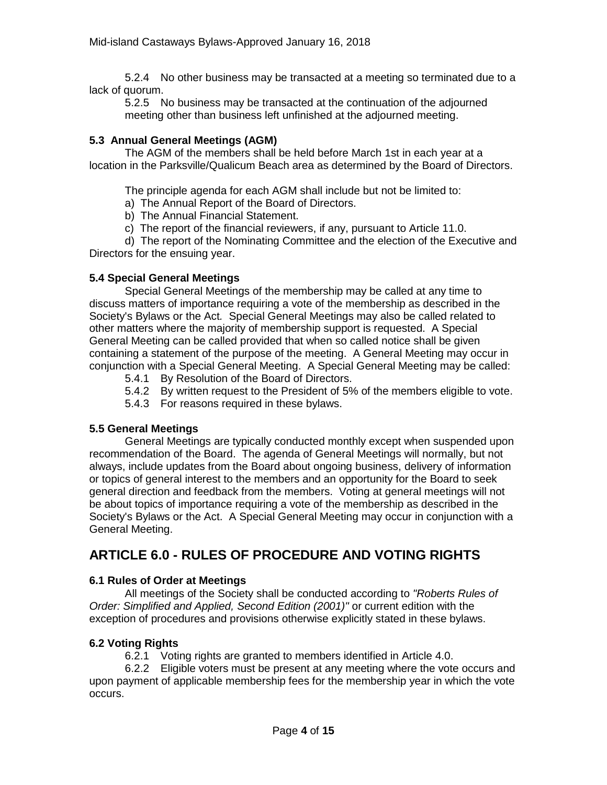5.2.4 No other business may be transacted at a meeting so terminated due to a lack of quorum.

5.2.5 No business may be transacted at the continuation of the adjourned meeting other than business left unfinished at the adjourned meeting.

### **5.3 Annual General Meetings (AGM)**

The AGM of the members shall be held before March 1st in each year at a location in the Parksville/Qualicum Beach area as determined by the Board of Directors.

The principle agenda for each AGM shall include but not be limited to:

- a) The Annual Report of the Board of Directors.
- b) The Annual Financial Statement.
- c) The report of the financial reviewers, if any, pursuant to Article 11.0.

d) The report of the Nominating Committee and the election of the Executive and Directors for the ensuing year.

### **5.4 Special General Meetings**

Special General Meetings of the membership may be called at any time to discuss matters of importance requiring a vote of the membership as described in the Society's Bylaws or the Act*.* Special General Meetings may also be called related to other matters where the majority of membership support is requested. A Special General Meeting can be called provided that when so called notice shall be given containing a statement of the purpose of the meeting. A General Meeting may occur in conjunction with a Special General Meeting. A Special General Meeting may be called:

- 5.4.1 By Resolution of the Board of Directors.
- 5.4.2 By written request to the President of 5% of the members eligible to vote.
- 5.4.3 For reasons required in these bylaws.

### **5.5 General Meetings**

General Meetings are typically conducted monthly except when suspended upon recommendation of the Board. The agenda of General Meetings will normally, but not always, include updates from the Board about ongoing business, delivery of information or topics of general interest to the members and an opportunity for the Board to seek general direction and feedback from the members. Voting at general meetings will not be about topics of importance requiring a vote of the membership as described in the Society's Bylaws or the Act. A Special General Meeting may occur in conjunction with a General Meeting.

# **ARTICLE 6.0 - RULES OF PROCEDURE AND VOTING RIGHTS**

### **6.1 Rules of Order at Meetings**

All meetings of the Society shall be conducted according to *"Roberts Rules of Order: Simplified and Applied, Second Edition (2001)"* or current edition with the exception of procedures and provisions otherwise explicitly stated in these bylaws.

### **6.2 Voting Rights**

6.2.1 Voting rights are granted to members identified in Article 4.0.

6.2.2 Eligible voters must be present at any meeting where the vote occurs and upon payment of applicable membership fees for the membership year in which the vote occurs.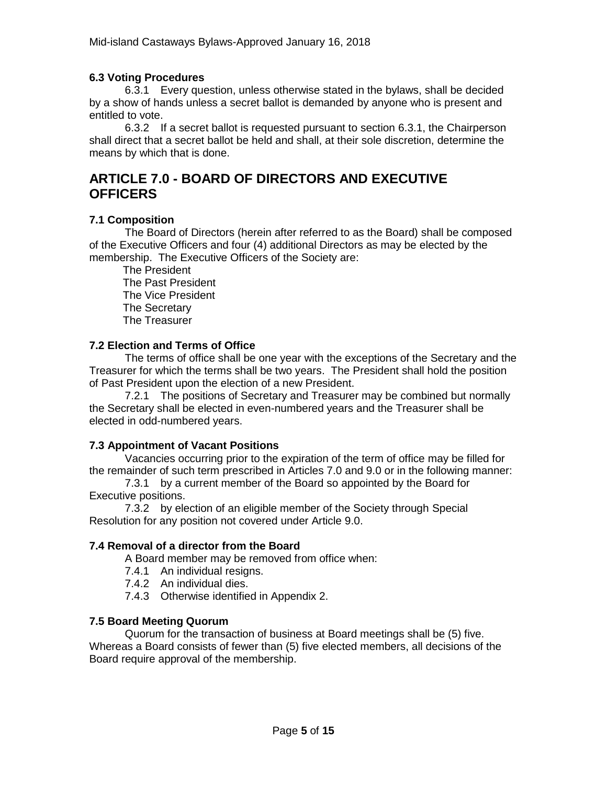### **6.3 Voting Procedures**

6.3.1 Every question, unless otherwise stated in the bylaws, shall be decided by a show of hands unless a secret ballot is demanded by anyone who is present and entitled to vote.

6.3.2 If a secret ballot is requested pursuant to section 6.3.1, the Chairperson shall direct that a secret ballot be held and shall, at their sole discretion, determine the means by which that is done.

# **ARTICLE 7.0 - BOARD OF DIRECTORS AND EXECUTIVE OFFICERS**

### **7.1 Composition**

The Board of Directors (herein after referred to as the Board) shall be composed of the Executive Officers and four (4) additional Directors as may be elected by the membership. The Executive Officers of the Society are:

The President The Past President The Vice President The Secretary The Treasurer

### **7.2 Election and Terms of Office**

The terms of office shall be one year with the exceptions of the Secretary and the Treasurer for which the terms shall be two years. The President shall hold the position of Past President upon the election of a new President.

7.2.1 The positions of Secretary and Treasurer may be combined but normally the Secretary shall be elected in even-numbered years and the Treasurer shall be elected in odd-numbered years.

### **7.3 Appointment of Vacant Positions**

Vacancies occurring prior to the expiration of the term of office may be filled for the remainder of such term prescribed in Articles 7.0 and 9.0 or in the following manner:

7.3.1 by a current member of the Board so appointed by the Board for Executive positions.

7.3.2 by election of an eligible member of the Society through Special Resolution for any position not covered under Article 9.0.

### **7.4 Removal of a director from the Board**

A Board member may be removed from office when:

- 7.4.1 An individual resigns.
- 7.4.2 An individual dies.
- 7.4.3 Otherwise identified in Appendix 2.

### **7.5 Board Meeting Quorum**

Quorum for the transaction of business at Board meetings shall be (5) five. Whereas a Board consists of fewer than (5) five elected members, all decisions of the Board require approval of the membership.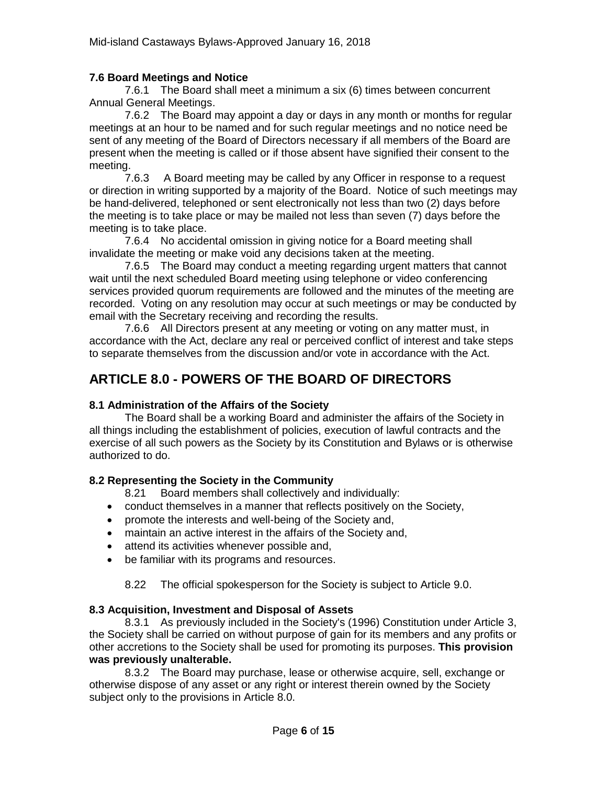### **7.6 Board Meetings and Notice**

7.6.1 The Board shall meet a minimum a six (6) times between concurrent Annual General Meetings.

7.6.2 The Board may appoint a day or days in any month or months for regular meetings at an hour to be named and for such regular meetings and no notice need be sent of any meeting of the Board of Directors necessary if all members of the Board are present when the meeting is called or if those absent have signified their consent to the meeting.

7.6.3 A Board meeting may be called by any Officer in response to a request or direction in writing supported by a majority of the Board. Notice of such meetings may be hand-delivered, telephoned or sent electronically not less than two (2) days before the meeting is to take place or may be mailed not less than seven (7) days before the meeting is to take place.

7.6.4 No accidental omission in giving notice for a Board meeting shall invalidate the meeting or make void any decisions taken at the meeting.

7.6.5 The Board may conduct a meeting regarding urgent matters that cannot wait until the next scheduled Board meeting using telephone or video conferencing services provided quorum requirements are followed and the minutes of the meeting are recorded. Voting on any resolution may occur at such meetings or may be conducted by email with the Secretary receiving and recording the results.

7.6.6 All Directors present at any meeting or voting on any matter must, in accordance with the Act, declare any real or perceived conflict of interest and take steps to separate themselves from the discussion and/or vote in accordance with the Act.

# **ARTICLE 8.0 - POWERS OF THE BOARD OF DIRECTORS**

### **8.1 Administration of the Affairs of the Society**

The Board shall be a working Board and administer the affairs of the Society in all things including the establishment of policies, execution of lawful contracts and the exercise of all such powers as the Society by its Constitution and Bylaws or is otherwise authorized to do.

### **8.2 Representing the Society in the Community**

8.21 Board members shall collectively and individually:

- conduct themselves in a manner that reflects positively on the Society,
- promote the interests and well-being of the Society and,
- maintain an active interest in the affairs of the Society and,
- attend its activities whenever possible and,
- be familiar with its programs and resources.

8.22 The official spokesperson for the Society is subject to Article 9.0.

### **8.3 Acquisition, Investment and Disposal of Assets**

8.3.1 As previously included in the Society's (1996) Constitution under Article 3, the Society shall be carried on without purpose of gain for its members and any profits or other accretions to the Society shall be used for promoting its purposes. **This provision was previously unalterable.**

8.3.2 The Board may purchase, lease or otherwise acquire, sell, exchange or otherwise dispose of any asset or any right or interest therein owned by the Society subject only to the provisions in Article 8.0.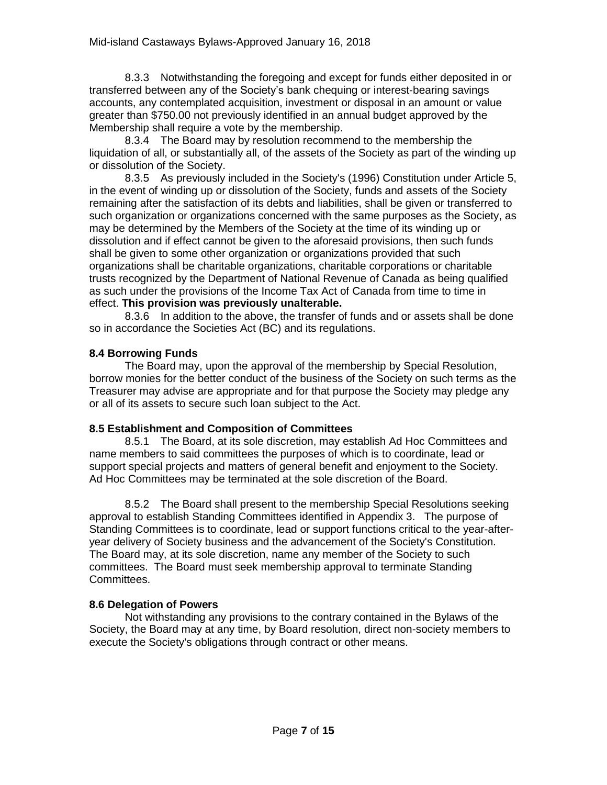8.3.3 Notwithstanding the foregoing and except for funds either deposited in or transferred between any of the Society's bank chequing or interest-bearing savings accounts, any contemplated acquisition, investment or disposal in an amount or value greater than \$750.00 not previously identified in an annual budget approved by the Membership shall require a vote by the membership.

8.3.4 The Board may by resolution recommend to the membership the liquidation of all, or substantially all, of the assets of the Society as part of the winding up or dissolution of the Society.

8.3.5 As previously included in the Society's (1996) Constitution under Article 5, in the event of winding up or dissolution of the Society, funds and assets of the Society remaining after the satisfaction of its debts and liabilities, shall be given or transferred to such organization or organizations concerned with the same purposes as the Society, as may be determined by the Members of the Society at the time of its winding up or dissolution and if effect cannot be given to the aforesaid provisions, then such funds shall be given to some other organization or organizations provided that such organizations shall be charitable organizations, charitable corporations or charitable trusts recognized by the Department of National Revenue of Canada as being qualified as such under the provisions of the Income Tax Act of Canada from time to time in effect. **This provision was previously unalterable.**

8.3.6 In addition to the above, the transfer of funds and or assets shall be done so in accordance the Societies Act (BC) and its regulations.

### **8.4 Borrowing Funds**

The Board may, upon the approval of the membership by Special Resolution, borrow monies for the better conduct of the business of the Society on such terms as the Treasurer may advise are appropriate and for that purpose the Society may pledge any or all of its assets to secure such loan subject to the Act.

### **8.5 Establishment and Composition of Committees**

8.5.1 The Board, at its sole discretion, may establish Ad Hoc Committees and name members to said committees the purposes of which is to coordinate, lead or support special projects and matters of general benefit and enjoyment to the Society. Ad Hoc Committees may be terminated at the sole discretion of the Board.

8.5.2 The Board shall present to the membership Special Resolutions seeking approval to establish Standing Committees identified in Appendix 3. The purpose of Standing Committees is to coordinate, lead or support functions critical to the year-afteryear delivery of Society business and the advancement of the Society's Constitution. The Board may, at its sole discretion, name any member of the Society to such committees. The Board must seek membership approval to terminate Standing Committees.

### **8.6 Delegation of Powers**

Not withstanding any provisions to the contrary contained in the Bylaws of the Society, the Board may at any time, by Board resolution, direct non-society members to execute the Society's obligations through contract or other means.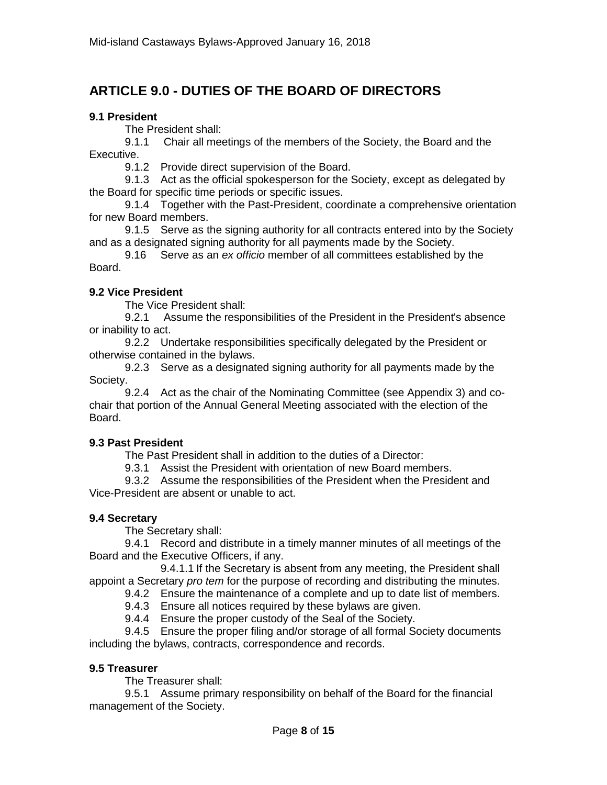# **ARTICLE 9.0 - DUTIES OF THE BOARD OF DIRECTORS**

### **9.1 President**

The President shall:

9.1.1 Chair all meetings of the members of the Society, the Board and the Executive.

9.1.2 Provide direct supervision of the Board.

9.1.3 Act as the official spokesperson for the Society, except as delegated by the Board for specific time periods or specific issues.

9.1.4 Together with the Past-President, coordinate a comprehensive orientation for new Board members.

9.1.5 Serve as the signing authority for all contracts entered into by the Society and as a designated signing authority for all payments made by the Society.

9.16 Serve as an *ex officio* member of all committees established by the Board.

### **9.2 Vice President**

The Vice President shall:

9.2.1 Assume the responsibilities of the President in the President's absence or inability to act.

9.2.2 Undertake responsibilities specifically delegated by the President or otherwise contained in the bylaws.

9.2.3 Serve as a designated signing authority for all payments made by the Society.

9.2.4 Act as the chair of the Nominating Committee (see Appendix 3) and cochair that portion of the Annual General Meeting associated with the election of the Board.

### **9.3 Past President**

The Past President shall in addition to the duties of a Director:

9.3.1 Assist the President with orientation of new Board members.

9.3.2 Assume the responsibilities of the President when the President and Vice-President are absent or unable to act.

### **9.4 Secretary**

The Secretary shall:

9.4.1 Record and distribute in a timely manner minutes of all meetings of the Board and the Executive Officers, if any.

9.4.1.1 If the Secretary is absent from any meeting, the President shall appoint a Secretary *pro tem* for the purpose of recording and distributing the minutes.

9.4.2 Ensure the maintenance of a complete and up to date list of members.

9.4.3 Ensure all notices required by these bylaws are given.

9.4.4 Ensure the proper custody of the Seal of the Society.

9.4.5 Ensure the proper filing and/or storage of all formal Society documents including the bylaws, contracts, correspondence and records.

### **9.5 Treasurer**

The Treasurer shall:

9.5.1 Assume primary responsibility on behalf of the Board for the financial management of the Society.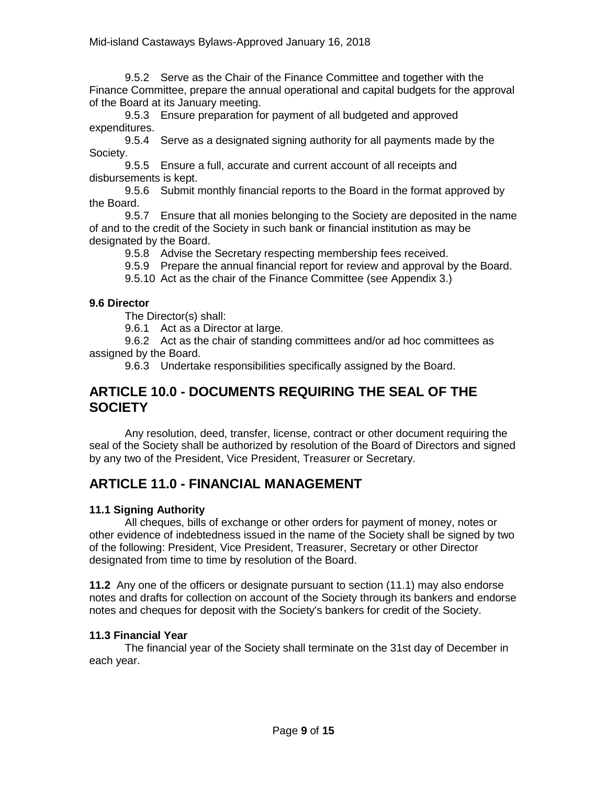9.5.2 Serve as the Chair of the Finance Committee and together with the Finance Committee, prepare the annual operational and capital budgets for the approval of the Board at its January meeting.

9.5.3 Ensure preparation for payment of all budgeted and approved expenditures.

9.5.4 Serve as a designated signing authority for all payments made by the Society.

9.5.5 Ensure a full, accurate and current account of all receipts and disbursements is kept.

9.5.6 Submit monthly financial reports to the Board in the format approved by the Board.

9.5.7 Ensure that all monies belonging to the Society are deposited in the name of and to the credit of the Society in such bank or financial institution as may be designated by the Board.

9.5.8 Advise the Secretary respecting membership fees received.

9.5.9 Prepare the annual financial report for review and approval by the Board.

9.5.10 Act as the chair of the Finance Committee (see Appendix 3.)

### **9.6 Director**

The Director(s) shall:

9.6.1 Act as a Director at large.

9.6.2 Act as the chair of standing committees and/or ad hoc committees as assigned by the Board.

9.6.3 Undertake responsibilities specifically assigned by the Board.

## **ARTICLE 10.0 - DOCUMENTS REQUIRING THE SEAL OF THE SOCIETY**

Any resolution, deed, transfer, license, contract or other document requiring the seal of the Society shall be authorized by resolution of the Board of Directors and signed by any two of the President, Vice President, Treasurer or Secretary.

# **ARTICLE 11.0 - FINANCIAL MANAGEMENT**

### **11.1 Signing Authority**

All cheques, bills of exchange or other orders for payment of money, notes or other evidence of indebtedness issued in the name of the Society shall be signed by two of the following: President, Vice President, Treasurer, Secretary or other Director designated from time to time by resolution of the Board.

**11.2** Any one of the officers or designate pursuant to section (11.1) may also endorse notes and drafts for collection on account of the Society through its bankers and endorse notes and cheques for deposit with the Society's bankers for credit of the Society.

### **11.3 Financial Year**

The financial year of the Society shall terminate on the 31st day of December in each year.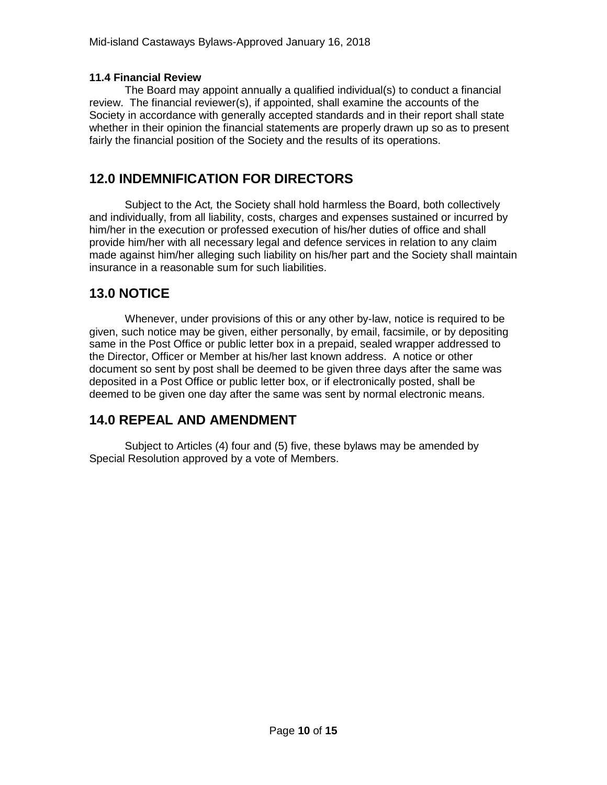### **11.4 Financial Review**

The Board may appoint annually a qualified individual(s) to conduct a financial review. The financial reviewer(s), if appointed, shall examine the accounts of the Society in accordance with generally accepted standards and in their report shall state whether in their opinion the financial statements are properly drawn up so as to present fairly the financial position of the Society and the results of its operations.

# **12.0 INDEMNIFICATION FOR DIRECTORS**

Subject to the Act*,* the Society shall hold harmless the Board, both collectively and individually, from all liability, costs, charges and expenses sustained or incurred by him/her in the execution or professed execution of his/her duties of office and shall provide him/her with all necessary legal and defence services in relation to any claim made against him/her alleging such liability on his/her part and the Society shall maintain insurance in a reasonable sum for such liabilities.

## **13.0 NOTICE**

Whenever, under provisions of this or any other by-law, notice is required to be given, such notice may be given, either personally, by email, facsimile, or by depositing same in the Post Office or public letter box in a prepaid, sealed wrapper addressed to the Director, Officer or Member at his/her last known address. A notice or other document so sent by post shall be deemed to be given three days after the same was deposited in a Post Office or public letter box, or if electronically posted, shall be deemed to be given one day after the same was sent by normal electronic means.

## **14.0 REPEAL AND AMENDMENT**

Subject to Articles (4) four and (5) five, these bylaws may be amended by Special Resolution approved by a vote of Members.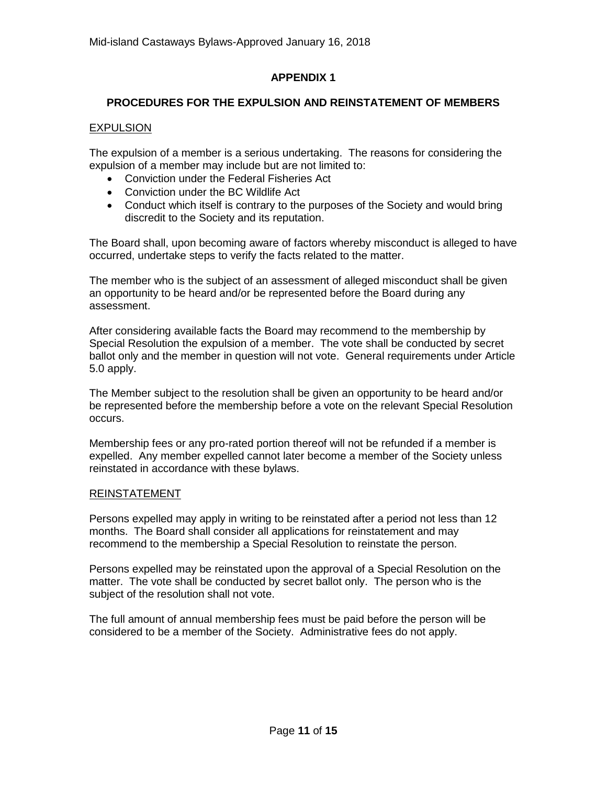### **APPENDIX 1**

### **PROCEDURES FOR THE EXPULSION AND REINSTATEMENT OF MEMBERS**

### EXPULSION

The expulsion of a member is a serious undertaking. The reasons for considering the expulsion of a member may include but are not limited to:

- Conviction under the Federal Fisheries Act
- Conviction under the BC Wildlife Act
- Conduct which itself is contrary to the purposes of the Society and would bring discredit to the Society and its reputation.

The Board shall, upon becoming aware of factors whereby misconduct is alleged to have occurred, undertake steps to verify the facts related to the matter.

The member who is the subject of an assessment of alleged misconduct shall be given an opportunity to be heard and/or be represented before the Board during any assessment.

After considering available facts the Board may recommend to the membership by Special Resolution the expulsion of a member. The vote shall be conducted by secret ballot only and the member in question will not vote. General requirements under Article 5.0 apply.

The Member subject to the resolution shall be given an opportunity to be heard and/or be represented before the membership before a vote on the relevant Special Resolution occurs.

Membership fees or any pro-rated portion thereof will not be refunded if a member is expelled. Any member expelled cannot later become a member of the Society unless reinstated in accordance with these bylaws.

### REINSTATEMENT

Persons expelled may apply in writing to be reinstated after a period not less than 12 months. The Board shall consider all applications for reinstatement and may recommend to the membership a Special Resolution to reinstate the person.

Persons expelled may be reinstated upon the approval of a Special Resolution on the matter. The vote shall be conducted by secret ballot only. The person who is the subject of the resolution shall not vote.

The full amount of annual membership fees must be paid before the person will be considered to be a member of the Society. Administrative fees do not apply.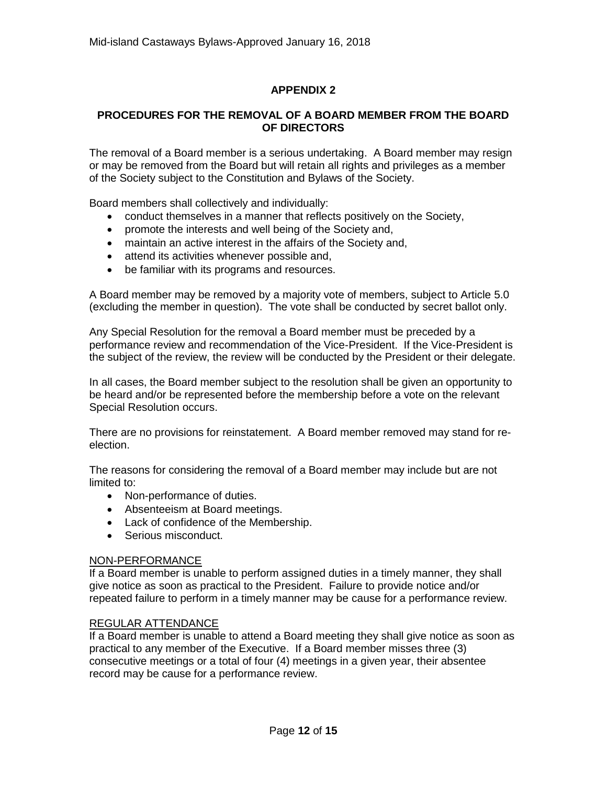## **APPENDIX 2**

### **PROCEDURES FOR THE REMOVAL OF A BOARD MEMBER FROM THE BOARD OF DIRECTORS**

The removal of a Board member is a serious undertaking. A Board member may resign or may be removed from the Board but will retain all rights and privileges as a member of the Society subject to the Constitution and Bylaws of the Society.

Board members shall collectively and individually:

- conduct themselves in a manner that reflects positively on the Society,
- promote the interests and well being of the Society and,
- maintain an active interest in the affairs of the Society and,
- attend its activities whenever possible and,
- be familiar with its programs and resources.

A Board member may be removed by a majority vote of members, subject to Article 5.0 (excluding the member in question). The vote shall be conducted by secret ballot only.

Any Special Resolution for the removal a Board member must be preceded by a performance review and recommendation of the Vice-President. If the Vice-President is the subject of the review, the review will be conducted by the President or their delegate.

In all cases, the Board member subject to the resolution shall be given an opportunity to be heard and/or be represented before the membership before a vote on the relevant Special Resolution occurs.

There are no provisions for reinstatement. A Board member removed may stand for reelection.

The reasons for considering the removal of a Board member may include but are not limited to:

- Non-performance of duties.
- Absenteeism at Board meetings.
- Lack of confidence of the Membership.
- Serious misconduct.

### NON-PERFORMANCE

If a Board member is unable to perform assigned duties in a timely manner, they shall give notice as soon as practical to the President. Failure to provide notice and/or repeated failure to perform in a timely manner may be cause for a performance review.

### REGULAR ATTENDANCE

If a Board member is unable to attend a Board meeting they shall give notice as soon as practical to any member of the Executive. If a Board member misses three (3) consecutive meetings or a total of four (4) meetings in a given year, their absentee record may be cause for a performance review.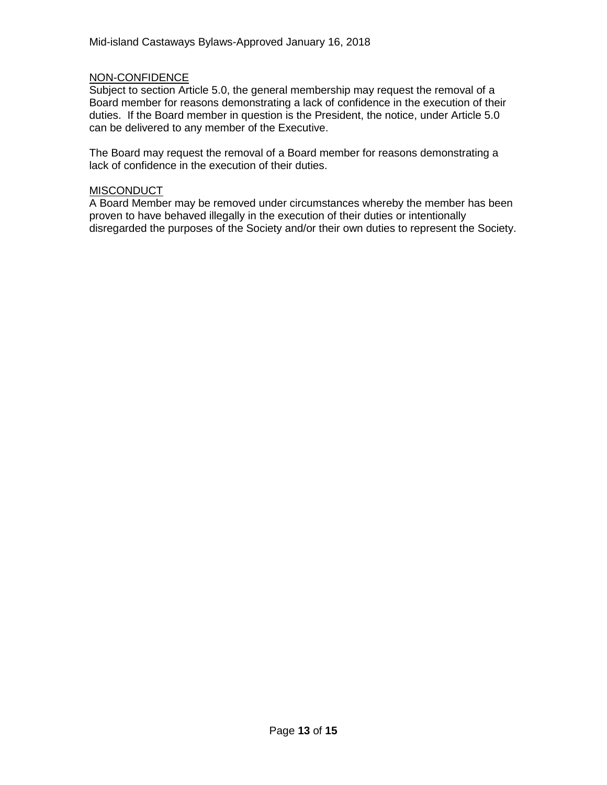### NON-CONFIDENCE

Subject to section Article 5.0, the general membership may request the removal of a Board member for reasons demonstrating a lack of confidence in the execution of their duties. If the Board member in question is the President, the notice, under Article 5.0 can be delivered to any member of the Executive.

The Board may request the removal of a Board member for reasons demonstrating a lack of confidence in the execution of their duties.

#### **MISCONDUCT**

A Board Member may be removed under circumstances whereby the member has been proven to have behaved illegally in the execution of their duties or intentionally disregarded the purposes of the Society and/or their own duties to represent the Society.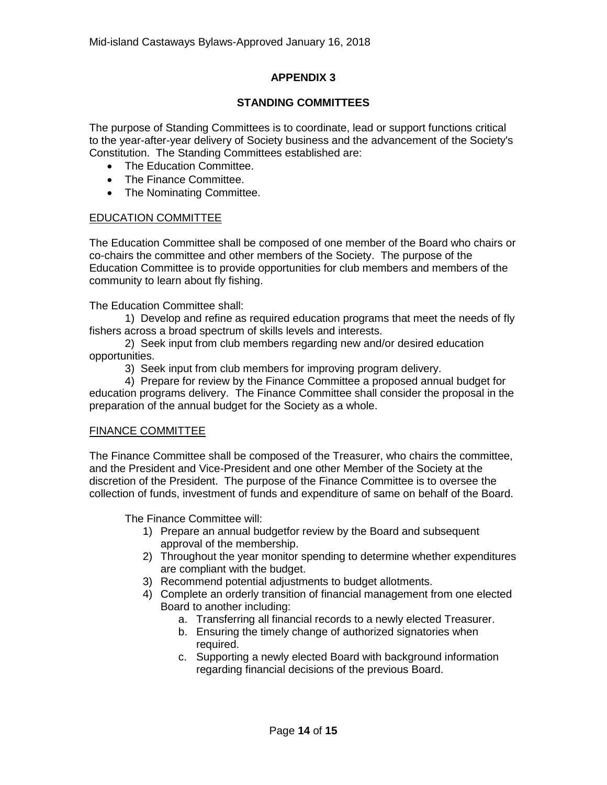### **APPENDIX 3**

### **STANDING COMMITTEES**

The purpose of Standing Committees is to coordinate, lead or support functions critical to the year-after-year delivery of Society business and the advancement of the Society's Constitution. The Standing Committees established are:

- The Education Committee.
- The Finance Committee.
- The Nominating Committee.

### EDUCATION COMMITTEE

The Education Committee shall be composed of one member of the Board who chairs or co-chairs the committee and other members of the Society. The purpose of the Education Committee is to provide opportunities for club members and members of the community to learn about fly fishing.

The Education Committee shall:

1) Develop and refine as required education programs that meet the needs of fly fishers across a broad spectrum of skills levels and interests.

2) Seek input from club members regarding new and/or desired education opportunities.

3) Seek input from club members for improving program delivery.

4) Prepare for review by the Finance Committee a proposed annual budget for education programs delivery. The Finance Committee shall consider the proposal in the preparation of the annual budget for the Society as a whole.

### FINANCE COMMITTEE

The Finance Committee shall be composed of the Treasurer, who chairs the committee, and the President and Vice-President and one other Member of the Society at the discretion of the President. The purpose of the Finance Committee is to oversee the collection of funds, investment of funds and expenditure of same on behalf of the Board.

The Finance Committee will:

- 1) Prepare an annual budgetfor review by the Board and subsequent approval of the membership.
- 2) Throughout the year monitor spending to determine whether expenditures are compliant with the budget.
- 3) Recommend potential adjustments to budget allotments.
- 4) Complete an orderly transition of financial management from one elected Board to another including:
	- a. Transferring all financial records to a newly elected Treasurer.
	- b. Ensuring the timely change of authorized signatories when required.
	- c. Supporting a newly elected Board with background information regarding financial decisions of the previous Board.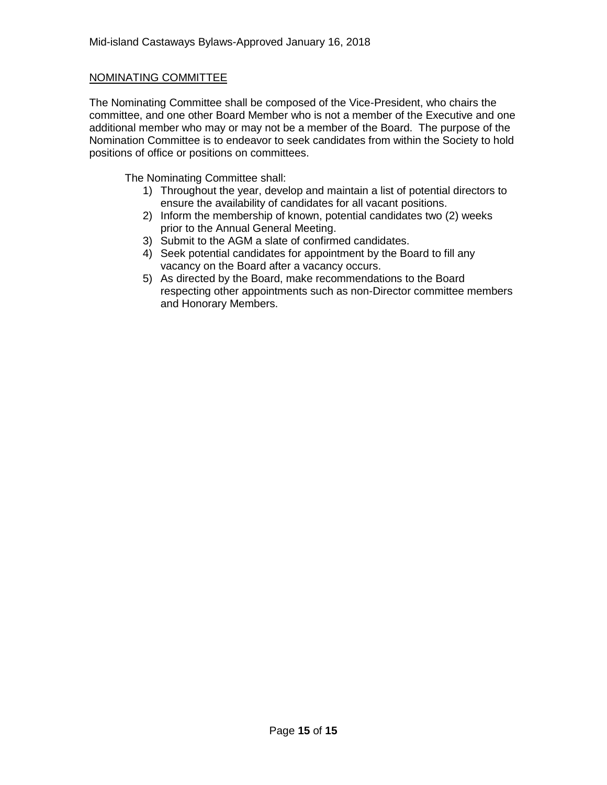### NOMINATING COMMITTEE

The Nominating Committee shall be composed of the Vice-President, who chairs the committee, and one other Board Member who is not a member of the Executive and one additional member who may or may not be a member of the Board. The purpose of the Nomination Committee is to endeavor to seek candidates from within the Society to hold positions of office or positions on committees.

The Nominating Committee shall:

- 1) Throughout the year, develop and maintain a list of potential directors to ensure the availability of candidates for all vacant positions.
- 2) Inform the membership of known, potential candidates two (2) weeks prior to the Annual General Meeting.
- 3) Submit to the AGM a slate of confirmed candidates.
- 4) Seek potential candidates for appointment by the Board to fill any vacancy on the Board after a vacancy occurs.
- 5) As directed by the Board, make recommendations to the Board respecting other appointments such as non-Director committee members and Honorary Members.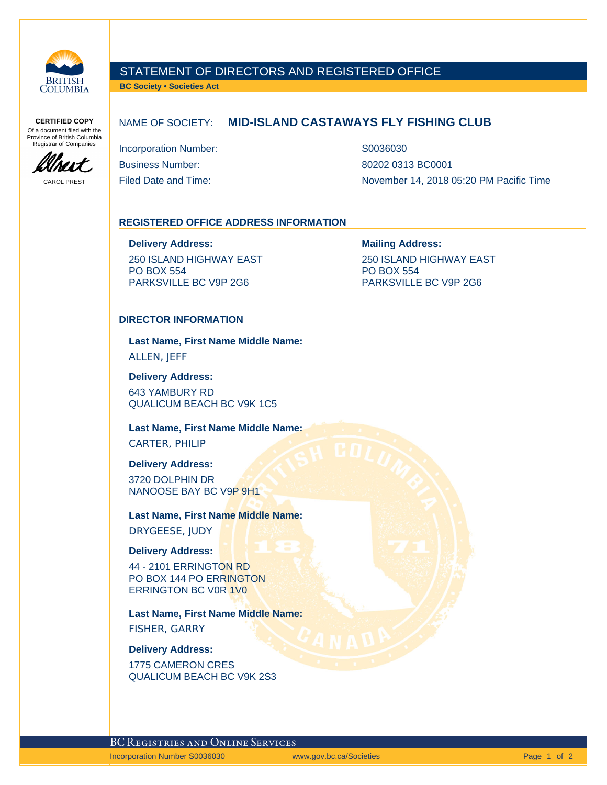

CAROL PREST

MIT

### STATEMENT OF DIRECTORS AND REGISTERED OFFICE

**BC Society • Societies Act**

**CERTIFIED COPY** Of a document filed with the Province of British Columbia Registrar of Companies

### NAME OF SOCIETY: **MID-ISLAND CASTAWAYS FLY FISHING CLUB**

Incorporation Number: S0036030 Business Number: 80202 0313 BC0001

Filed Date and Time:  $\blacksquare$  November 14, 2018 05:20 PM Pacific Time

#### **REGISTERED OFFICE ADDRESS INFORMATION**

**Delivery Address: Mailing Address:**

250 ISLAND HIGHWAY EAST PO BOX 554 PARKSVILLE BC V9P 2G6

250 ISLAND HIGHWAY EAST PO BOX 554 PARKSVILLE BC V9P 2G6

#### **DIRECTOR INFORMATION**

**Last Name, First Name Middle Name:** ALLEN, JEFF

**Delivery Address:**

643 YAMBURY RD QUALICUM BEACH BC V9K 1C5

**Last Name, First Name Middle Name:**

CARTER, PHILIP

**Delivery Address:**

3720 DOLPHIN DR NANOOSE BAY BC V9P 9H1

**Last Name, First Name Middle Name:** DRYGEESE, JUDY

**Delivery Address:**

44 - 2101 ERRINGTON RD PO BOX 144 PO ERRINGTON ERRINGTON BC V0R 1V0

**Last Name, First Name Middle Name:** FISHER, GARRY

**Delivery Address:**

1775 CAMERON CRES QUALICUM BEACH BC V9K 2S3

BC Registries and Online Services